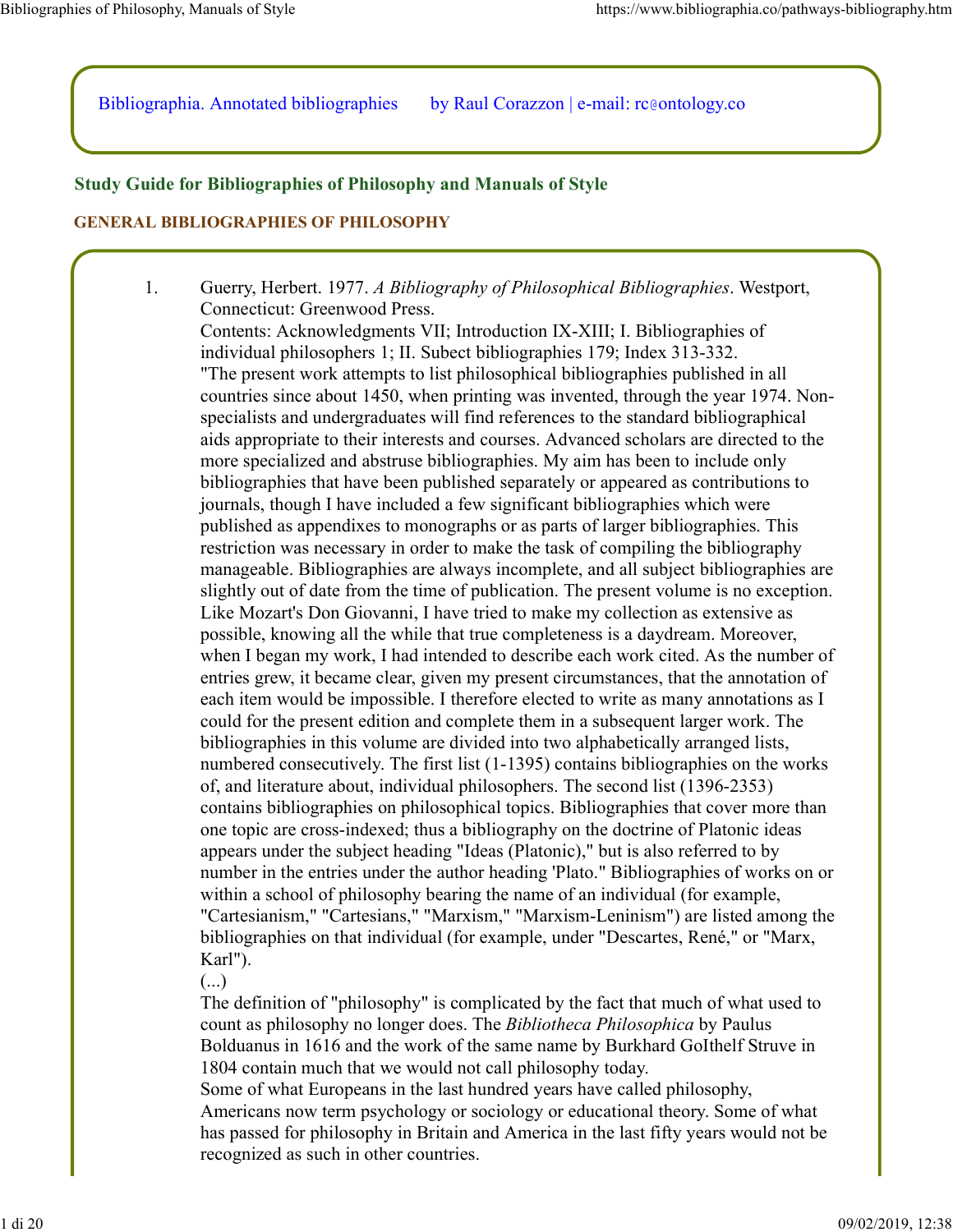Bibliographia. Annotated bibliographies by Raul Corazzon | e-mail: rc@ontology.co Bibliographies of Philosophy, Manuals of Style https://www.bibliographia.co/pathways-bibliography.htm<br>
Bibliographia. Annotated bibliographies by Raul Corazzon | e-mail: rc@ontology.co

### Study Guide for Bibliographies of Philosophy and Manuals of Style

#### GENERAL BIBLIOGRAPHIES OF PHILOSOPHY

1. Guerry, Herbert. 1977. A Bibliography of Philosophical Bibliographies. Westport, Connecticut: Greenwood Press. Contents: Acknowledgments VII; Introduction IX-XIII; I. Bibliographies of individual philosophers 1; II. Subect bibliographies 179; Index 313-332. "The present work attempts to list philosophical bibliographies published in all countries since about 1450, when printing was invented, through the year 1974. Nonspecialists and undergraduates will find references to the standard bibliographical aids appropriate to their interests and courses. Advanced scholars are directed to the more specialized and abstruse bibliographies. My aim has been to include only bibliographies that have been published separately or appeared as contributions to journals, though I have included a few significant bibliographies which were published as appendixes to monographs or as parts of larger bibliographies. This restriction was necessary in order to make the task of compiling the bibliography manageable. Bibliographies are always incomplete, and all subject bibliographies are slightly out of date from the time of publication. The present volume is no exception. Like Mozart's Don Giovanni, I have tried to make my collection as extensive as possible, knowing all the while that true completeness is a daydream. Moreover, when I began my work, I had intended to describe each work cited. As the number of entries grew, it became clear, given my present circumstances, that the annotation of each item would be impossible. I therefore elected to write as many annotations as I could for the present edition and complete them in a subsequent larger work. The bibliographies in this volume are divided into two alphabetically arranged lists, numbered consecutively. The first list (1-1395) contains bibliographies on the works of, and literature about, individual philosophers. The second list (1396-2353) contains bibliographies on philosophical topics. Bibliographies that cover more than one topic are cross-indexed; thus a bibliography on the doctrine of Platonic ideas appears under the subject heading "Ideas (Platonic)," but is also referred to by number in the entries under the author heading 'Plato." Bibliographies of works on or within a school of philosophy bearing the name of an individual (for example, "Cartesianism," "Cartesians," "Marxism," "Marxism-Leninism") are listed among the bibliographies on that individual (for example, under "Descartes, René," or "Marx, Karl").

(...)

The definition of "philosophy" is complicated by the fact that much of what used to count as philosophy no longer does. The Bibliotheca Philosophica by Paulus Bolduanus in 1616 and the work of the same name by Burkhard GoIthelf Struve in 1804 contain much that we would not call philosophy today.

Some of what Europeans in the last hundred years have called philosophy, Americans now term psychology or sociology or educational theory. Some of what has passed for philosophy in Britain and America in the last fifty years would not be recognized as such in other countries.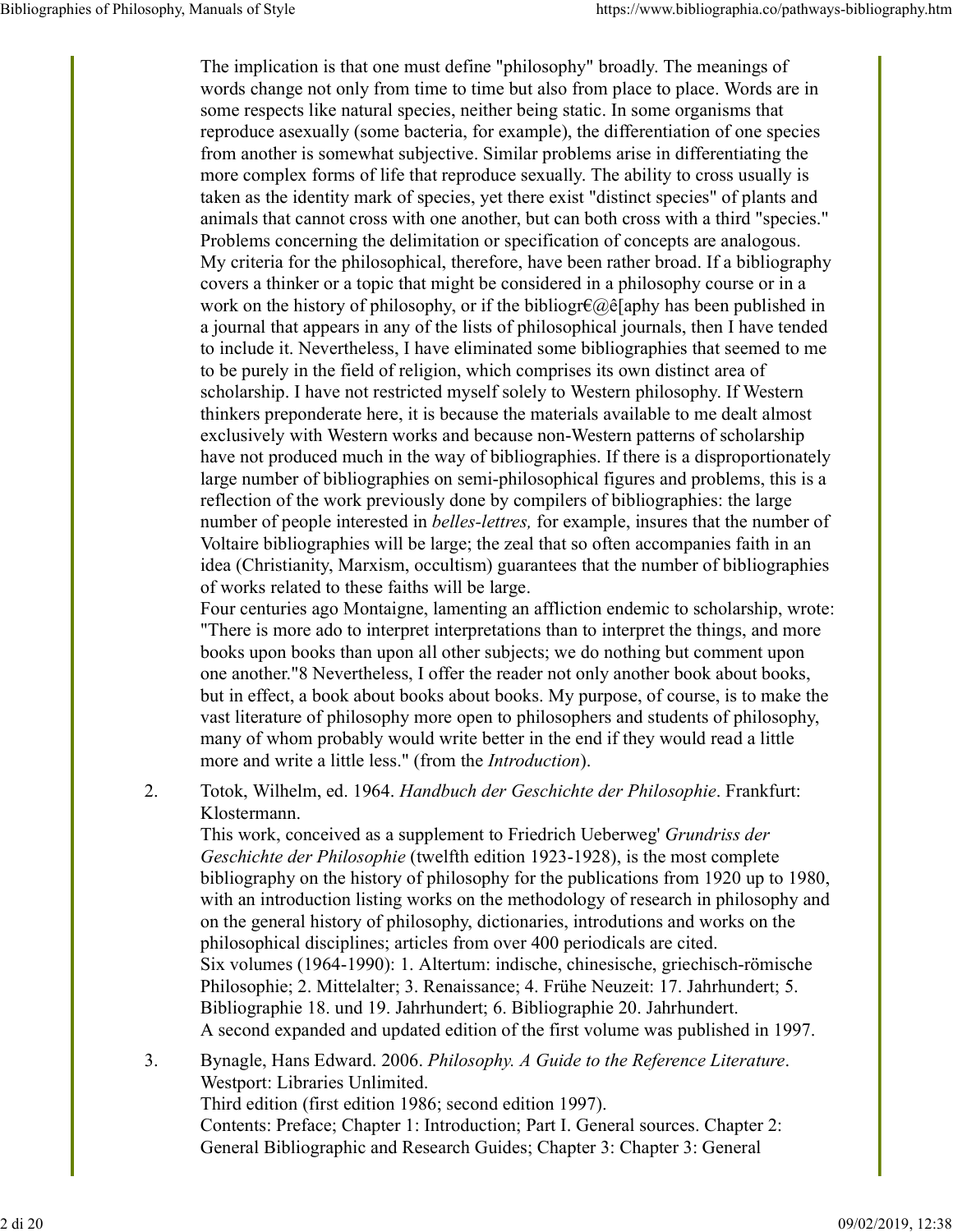The implication is that one must define "philosophy" broadly. The meanings of words change not only from time to time but also from place to place. Words are in some respects like natural species, neither being static. In some organisms that reproduce asexually (some bacteria, for example), the differentiation of one species from another is somewhat subjective. Similar problems arise in differentiating the more complex forms of life that reproduce sexually. The ability to cross usually is taken as the identity mark of species, yet there exist "distinct species" of plants and animals that cannot cross with one another, but can both cross with a third "species." Problems concerning the delimitation or specification of concepts are analogous. My criteria for the philosophical, therefore, have been rather broad. If a bibliography covers a thinker or a topic that might be considered in a philosophy course or in a work on the history of philosophy, or if the bibliogr $\epsilon(\hat{\alpha})\in\mathcal{E}$  apply has been published in a journal that appears in any of the lists of philosophical journals, then I have tended to include it. Nevertheless, I have eliminated some bibliographies that seemed to me to be purely in the field of religion, which comprises its own distinct area of scholarship. I have not restricted myself solely to Western philosophy. If Western thinkers preponderate here, it is because the materials available to me dealt almost exclusively with Western works and because non-Western patterns of scholarship have not produced much in the way of bibliographies. If there is a disproportionately large number of bibliographies on semi-philosophical figures and problems, this is a reflection of the work previously done by compilers of bibliographies: the large number of people interested in *belles-lettres*, for example, insures that the number of Voltaire bibliographies will be large; the zeal that so often accompanies faith in an idea (Christianity, Marxism, occultism) guarantees that the number of bibliographies of works related to these faiths will be large. Bibliographies of Philosophy, Manuals of Style<br>
The implication is that one must define "philosophy" broadly. The meanings of<br>
words change not only from time to time but also from place to place. Words are in<br>
some respec

> Four centuries ago Montaigne, lamenting an affliction endemic to scholarship, wrote: "There is more ado to interpret interpretations than to interpret the things, and more books upon books than upon all other subjects; we do nothing but comment upon one another."8 Nevertheless, I offer the reader not only another book about books, but in effect, a book about books about books. My purpose, of course, is to make the vast literature of philosophy more open to philosophers and students of philosophy, many of whom probably would write better in the end if they would read a little more and write a little less." (from the Introduction).

2. Totok, Wilhelm, ed. 1964. Handbuch der Geschichte der Philosophie. Frankfurt: Klostermann.

This work, conceived as a supplement to Friedrich Ueberweg' Grundriss der Geschichte der Philosophie (twelfth edition 1923-1928), is the most complete bibliography on the history of philosophy for the publications from 1920 up to 1980, with an introduction listing works on the methodology of research in philosophy and on the general history of philosophy, dictionaries, introdutions and works on the philosophical disciplines; articles from over 400 periodicals are cited. Six volumes (1964-1990): 1. Altertum: indische, chinesische, griechisch-römische Philosophie; 2. Mittelalter; 3. Renaissance; 4. Frühe Neuzeit: 17. Jahrhundert; 5. Bibliographie 18. und 19. Jahrhundert; 6. Bibliographie 20. Jahrhundert. A second expanded and updated edition of the first volume was published in 1997.

3. Bynagle, Hans Edward. 2006. Philosophy. A Guide to the Reference Literature. Westport: Libraries Unlimited. Third edition (first edition 1986; second edition 1997). Contents: Preface; Chapter 1: Introduction; Part I. General sources. Chapter 2: General Bibliographic and Research Guides; Chapter 3: Chapter 3: General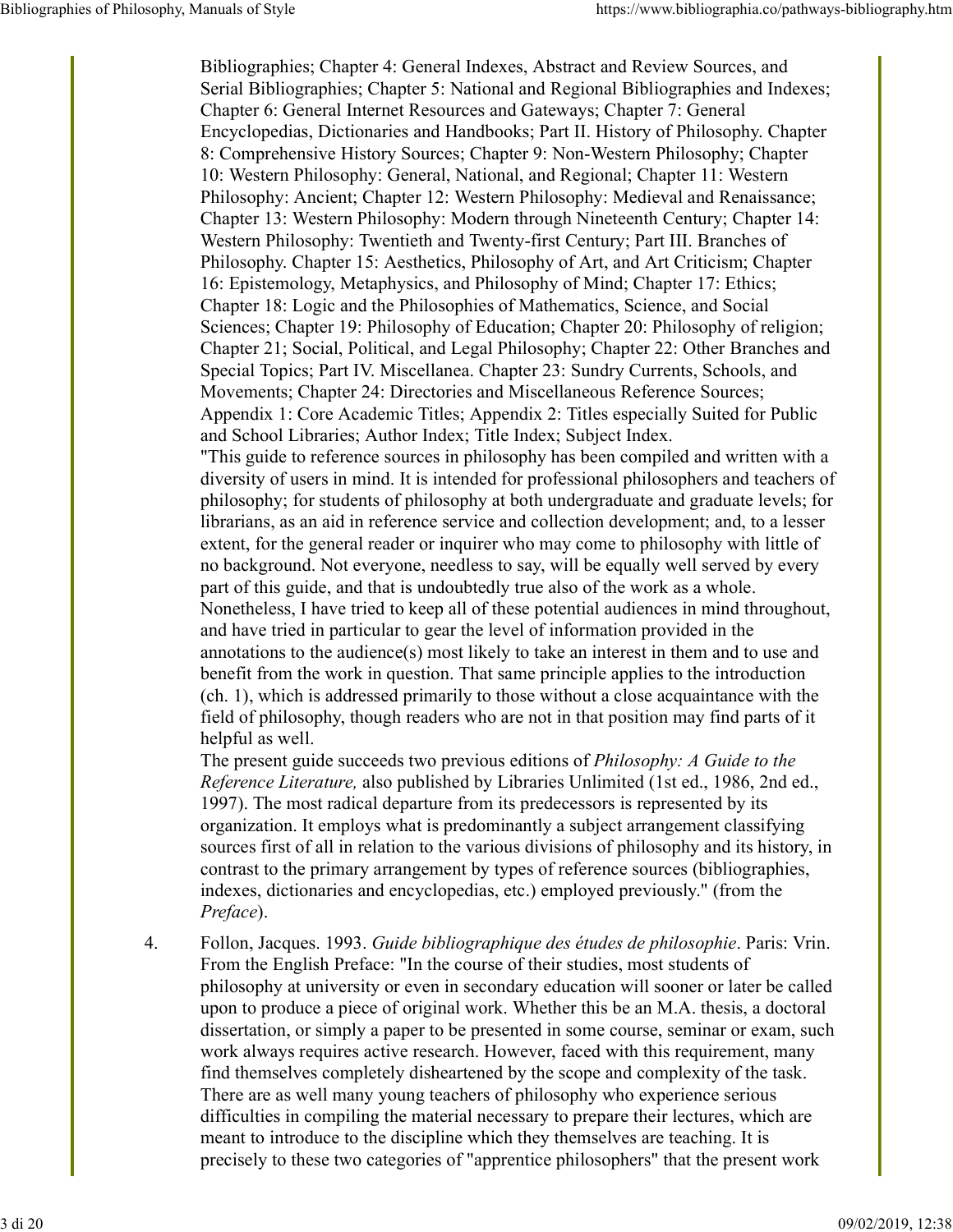Bibliographies; Chapter 4: General Indexes, Abstract and Review Sources, and Serial Bibliographies; Chapter 5: National and Regional Bibliographies and Indexes; Chapter 6: General Internet Resources and Gateways; Chapter 7: General Encyclopedias, Dictionaries and Handbooks; Part II. History of Philosophy. Chapter 8: Comprehensive History Sources; Chapter 9: Non-Western Philosophy; Chapter 10: Western Philosophy: General, National, and Regional; Chapter 11: Western Philosophy: Ancient; Chapter 12: Western Philosophy: Medieval and Renaissance; Chapter 13: Western Philosophy: Modern through Nineteenth Century; Chapter 14: Western Philosophy: Twentieth and Twenty-first Century; Part III. Branches of Philosophy. Chapter 15: Aesthetics, Philosophy of Art, and Art Criticism; Chapter 16: Epistemology, Metaphysics, and Philosophy of Mind; Chapter 17: Ethics; Chapter 18: Logic and the Philosophies of Mathematics, Science, and Social Sciences; Chapter 19: Philosophy of Education; Chapter 20: Philosophy of religion; Chapter 21; Social, Political, and Legal Philosophy; Chapter 22: Other Branches and Special Topics; Part IV. Miscellanea. Chapter 23: Sundry Currents, Schools, and Movements; Chapter 24: Directories and Miscellaneous Reference Sources; Appendix 1: Core Academic Titles; Appendix 2: Titles especially Suited for Public and School Libraries; Author Index; Title Index; Subject Index. "This guide to reference sources in philosophy has been compiled and written with a diversity of users in mind. It is intended for professional philosophers and teachers of philosophy; for students of philosophy at both undergraduate and graduate levels; for librarians, as an aid in reference service and collection development; and, to a lesser extent, for the general reader or inquirer who may come to philosophy with little of no background. Not everyone, needless to say, will be equally well served by every part of this guide, and that is undoubtedly true also of the work as a whole. Nonetheless, I have tried to keep all of these potential audiences in mind throughout, and have tried in particular to gear the level of information provided in the annotations to the audience(s) most likely to take an interest in them and to use and benefit from the work in question. That same principle applies to the introduction (ch. 1), which is addressed primarily to those without a close acquaintance with the field of philosophy, though readers who are not in that position may find parts of it helpful as well. Bibliographies of Philosophy, Manuals of Style https://www.bibliographia.co/pathways-bibliography.htm<br>Bibliographies; Chapter 4: General Indexes, Abstract and Review Sources, and<br>Serial Bibliographies; Chapter 5: National

The present guide succeeds two previous editions of *Philosophy: A Guide to the* Reference Literature, also published by Libraries Unlimited (1st ed., 1986, 2nd ed., 1997). The most radical departure from its predecessors is represented by its organization. It employs what is predominantly a subject arrangement classifying sources first of all in relation to the various divisions of philosophy and its history, in contrast to the primary arrangement by types of reference sources (bibliographies, indexes, dictionaries and encyclopedias, etc.) employed previously." (from the Preface).

4. Follon, Jacques. 1993. Guide bibliographique des études de philosophie. Paris: Vrin. From the English Preface: "In the course of their studies, most students of philosophy at university or even in secondary education will sooner or later be called upon to produce a piece of original work. Whether this be an M.A. thesis, a doctoral dissertation, or simply a paper to be presented in some course, seminar or exam, such work always requires active research. However, faced with this requirement, many find themselves completely disheartened by the scope and complexity of the task. There are as well many young teachers of philosophy who experience serious difficulties in compiling the material necessary to prepare their lectures, which are meant to introduce to the discipline which they themselves are teaching. It is precisely to these two categories of "apprentice philosophers" that the present work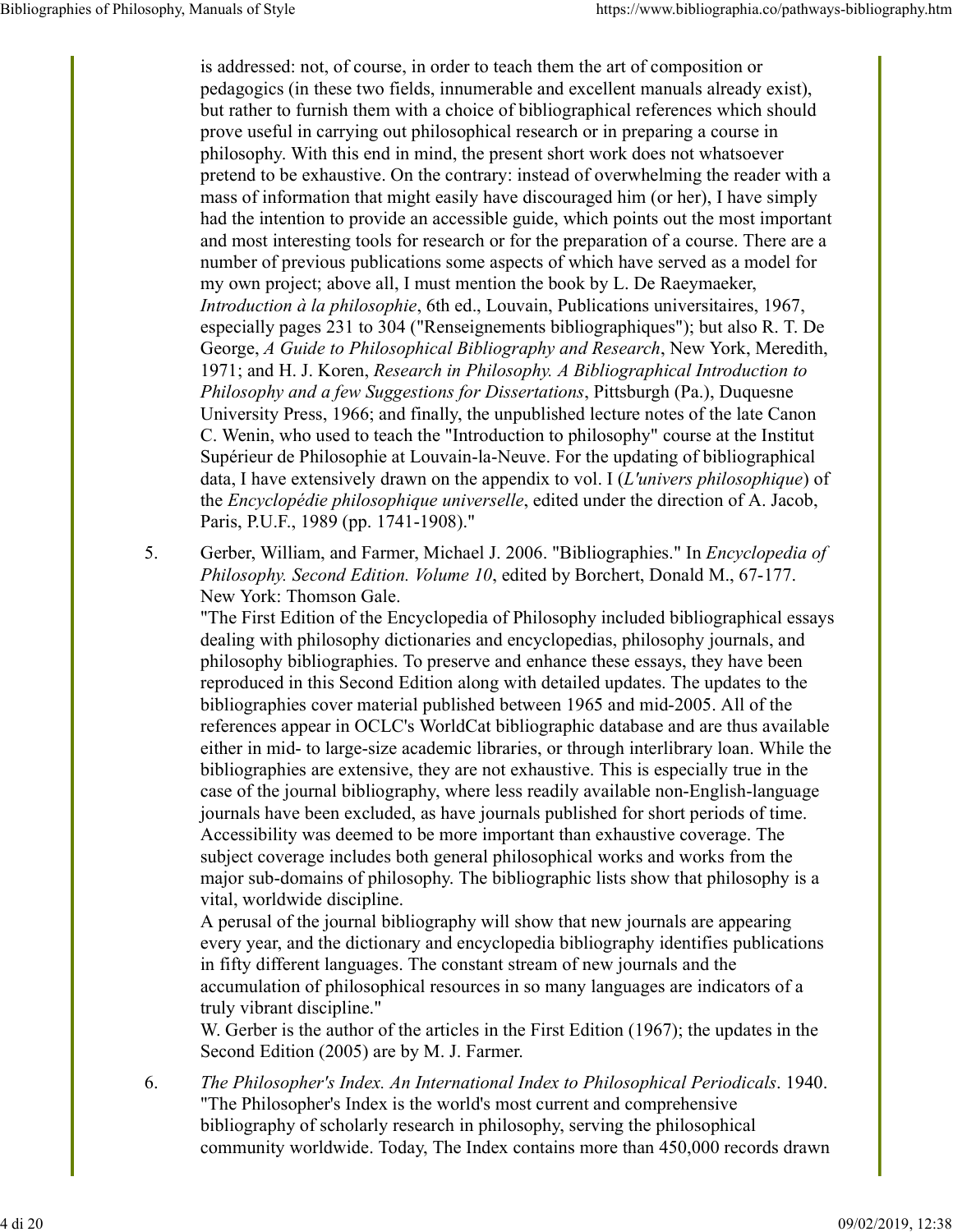is addressed: not, of course, in order to teach them the art of composition or pedagogics (in these two fields, innumerable and excellent manuals already exist), but rather to furnish them with a choice of bibliographical references which should prove useful in carrying out philosophical research or in preparing a course in philosophy. With this end in mind, the present short work does not whatsoever pretend to be exhaustive. On the contrary: instead of overwhelming the reader with a mass of information that might easily have discouraged him (or her), I have simply had the intention to provide an accessible guide, which points out the most important and most interesting tools for research or for the preparation of a course. There are a number of previous publications some aspects of which have served as a model for my own project; above all, I must mention the book by L. De Raeymaeker, Introduction à la philosophie, 6th ed., Louvain, Publications universitaires, 1967, especially pages 231 to 304 ("Renseignements bibliographiques"); but also R. T. De George, A Guide to Philosophical Bibliography and Research, New York, Meredith, 1971; and H. J. Koren, Research in Philosophy. A Bibliographical Introduction to Philosophy and a few Suggestions for Dissertations, Pittsburgh (Pa.), Duquesne University Press, 1966; and finally, the unpublished lecture notes of the late Canon C. Wenin, who used to teach the "Introduction to philosophy" course at the Institut Supérieur de Philosophie at Louvain-la-Neuve. For the updating of bibliographical data, I have extensively drawn on the appendix to vol. I ( $L'$ univers philosophique) of the Encyclopédie philosophique universelle, edited under the direction of A. Jacob, Paris, P.U.F., 1989 (pp. 1741-1908)." Bibliographies of Philosophy, Manuals of Style<br>
is addressed: not, of course, in order to teach them the art of composition or<br>
pedagogics (in these two fields, innumerable and excellent manuals already exist),<br>
but rather

> 5. Gerber, William, and Farmer, Michael J. 2006. "Bibliographies." In *Encyclopedia of* Philosophy. Second Edition. Volume 10, edited by Borchert, Donald M., 67-177. New York: Thomson Gale.

"The First Edition of the Encyclopedia of Philosophy included bibliographical essays dealing with philosophy dictionaries and encyclopedias, philosophy journals, and philosophy bibliographies. To preserve and enhance these essays, they have been reproduced in this Second Edition along with detailed updates. The updates to the bibliographies cover material published between 1965 and mid-2005. All of the references appear in OCLC's WorldCat bibliographic database and are thus available either in mid- to large-size academic libraries, or through interlibrary loan. While the bibliographies are extensive, they are not exhaustive. This is especially true in the case of the journal bibliography, where less readily available non-English-language journals have been excluded, as have journals published for short periods of time. Accessibility was deemed to be more important than exhaustive coverage. The subject coverage includes both general philosophical works and works from the major sub-domains of philosophy. The bibliographic lists show that philosophy is a vital, worldwide discipline.

A perusal of the journal bibliography will show that new journals are appearing every year, and the dictionary and encyclopedia bibliography identifies publications in fifty different languages. The constant stream of new journals and the accumulation of philosophical resources in so many languages are indicators of a truly vibrant discipline."

W. Gerber is the author of the articles in the First Edition (1967); the updates in the Second Edition (2005) are by M. J. Farmer.

6. The Philosopher's Index. An International Index to Philosophical Periodicals. 1940. "The Philosopher's Index is the world's most current and comprehensive bibliography of scholarly research in philosophy, serving the philosophical community worldwide. Today, The Index contains more than 450,000 records drawn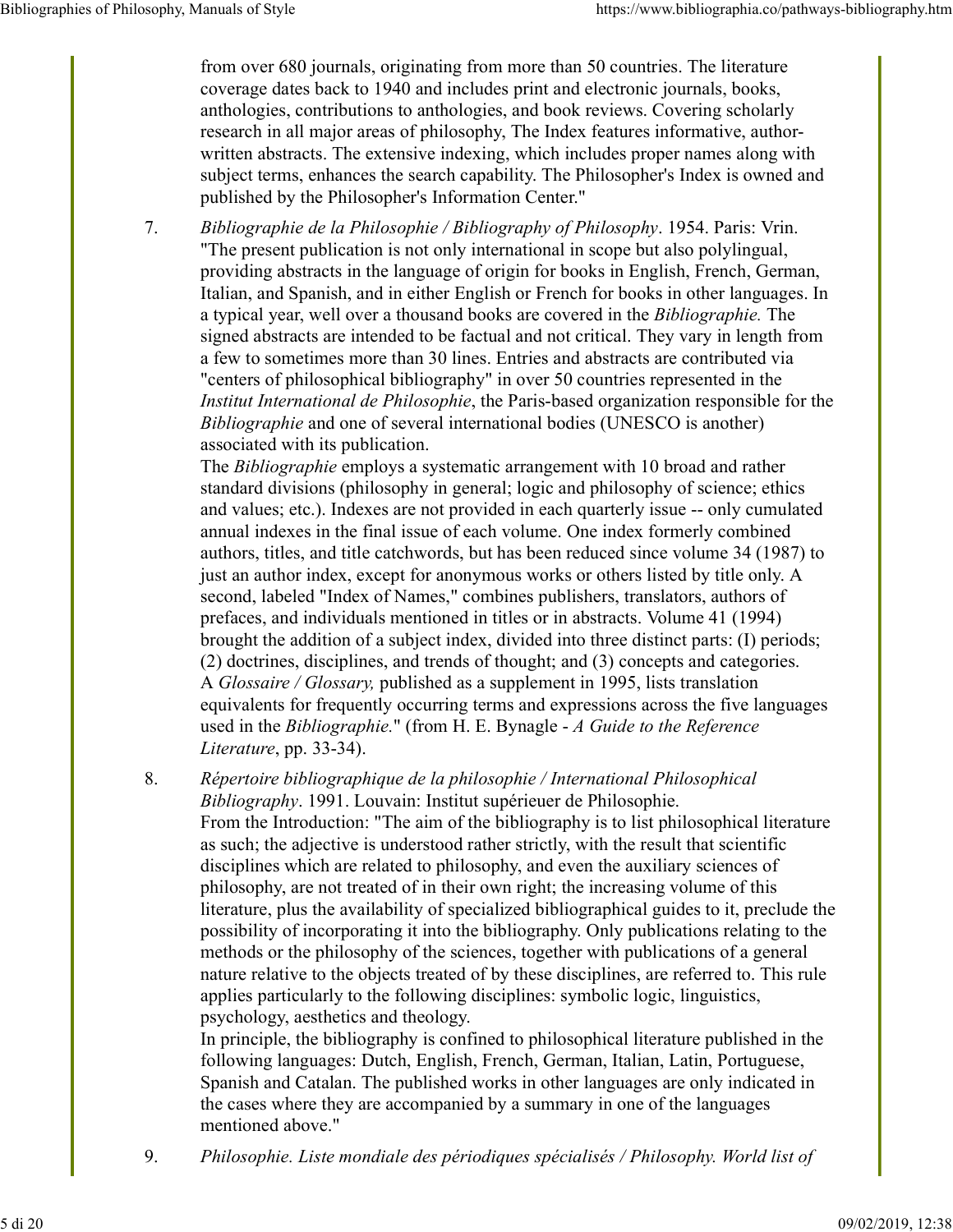from over 680 journals, originating from more than 50 countries. The literature coverage dates back to 1940 and includes print and electronic journals, books, anthologies, contributions to anthologies, and book reviews. Covering scholarly research in all major areas of philosophy, The Index features informative, authorwritten abstracts. The extensive indexing, which includes proper names along with subject terms, enhances the search capability. The Philosopher's Index is owned and published by the Philosopher's Information Center." Bibliographies of Philosophy, Manuals of Style<br>
from over 680 journals, originating from more than 50 countries. The literature<br>
coverage dates back to 1940 and includes print and electronic journals, books,<br>
anthologies c

> 7. Bibliographie de la Philosophie / Bibliography of Philosophy. 1954. Paris: Vrin. "The present publication is not only international in scope but also polylingual, providing abstracts in the language of origin for books in English, French, German, Italian, and Spanish, and in either English or French for books in other languages. In a typical year, well over a thousand books are covered in the Bibliographie. The signed abstracts are intended to be factual and not critical. They vary in length from a few to sometimes more than 30 lines. Entries and abstracts are contributed via "centers of philosophical bibliography" in over 50 countries represented in the Institut International de Philosophie, the Paris-based organization responsible for the Bibliographie and one of several international bodies (UNESCO is another) associated with its publication.

The *Bibliographie* employs a systematic arrangement with 10 broad and rather standard divisions (philosophy in general; logic and philosophy of science; ethics and values; etc.). Indexes are not provided in each quarterly issue -- only cumulated annual indexes in the final issue of each volume. One index formerly combined authors, titles, and title catchwords, but has been reduced since volume 34 (1987) to just an author index, except for anonymous works or others listed by title only. A second, labeled "Index of Names," combines publishers, translators, authors of prefaces, and individuals mentioned in titles or in abstracts. Volume 41 (1994) brought the addition of a subject index, divided into three distinct parts: (I) periods; (2) doctrines, disciplines, and trends of thought; and (3) concepts and categories. A Glossaire / Glossary, published as a supplement in 1995, lists translation equivalents for frequently occurring terms and expressions across the five languages used in the Bibliographie." (from H. E. Bynagle - A Guide to the Reference Literature, pp. 33-34).

8. Répertoire bibliographique de la philosophie / International Philosophical and the setting of the setting o Bibliography. 1991. Louvain: Institut supérieuer de Philosophie. From the Introduction: "The aim of the bibliography is to list philosophical literature as such; the adjective is understood rather strictly, with the result that scientific disciplines which are related to philosophy, and even the auxiliary sciences of philosophy, are not treated of in their own right; the increasing volume of this literature, plus the availability of specialized bibliographical guides to it, preclude the possibility of incorporating it into the bibliography. Only publications relating to the methods or the philosophy of the sciences, together with publications of a general nature relative to the objects treated of by these disciplines, are referred to. This rule applies particularly to the following disciplines: symbolic logic, linguistics, psychology, aesthetics and theology.

In principle, the bibliography is confined to philosophical literature published in the following languages: Dutch, English, French, German, Italian, Latin, Portuguese, Spanish and Catalan. The published works in other languages are only indicated in the cases where they are accompanied by a summary in one of the languages mentioned above."

9. Philosophie. Liste mondiale des périodiques spécialisés / Philosophy. World list of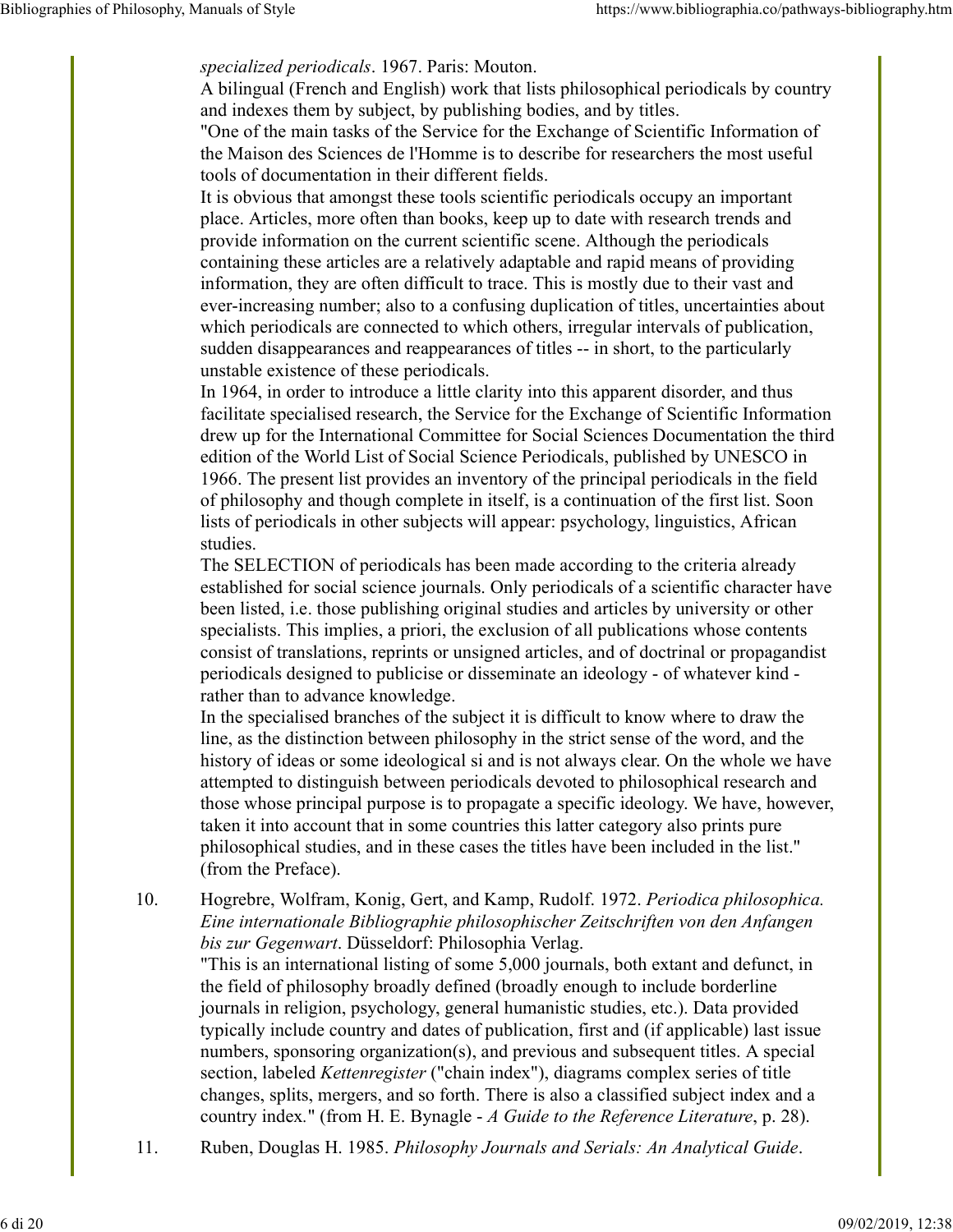specialized periodicals. 1967. Paris: Mouton.

A bilingual (French and English) work that lists philosophical periodicals by country and indexes them by subject, by publishing bodies, and by titles. Bibliographies of Philosophy, Manuals of Style<br>https://www.bibliographia.co/pathways-bibliography.htm<br>specialized periodicals. 1967. Paris: Mouton.<br>A bilingual (French and English) work that lists philosophical periodicals

> "One of the main tasks of the Service for the Exchange of Scientific Information of the Maison des Sciences de l'Homme is to describe for researchers the most useful tools of documentation in their different fields.

> It is obvious that amongst these tools scientific periodicals occupy an important place. Articles, more often than books, keep up to date with research trends and provide information on the current scientific scene. Although the periodicals containing these articles are a relatively adaptable and rapid means of providing information, they are often difficult to trace. This is mostly due to their vast and ever-increasing number; also to a confusing duplication of titles, uncertainties about which periodicals are connected to which others, irregular intervals of publication, sudden disappearances and reappearances of titles -- in short, to the particularly unstable existence of these periodicals.

In 1964, in order to introduce a little clarity into this apparent disorder, and thus facilitate specialised research, the Service for the Exchange of Scientific Information drew up for the International Committee for Social Sciences Documentation the third edition of the World List of Social Science Periodicals, published by UNESCO in 1966. The present list provides an inventory of the principal periodicals in the field of philosophy and though complete in itself, is a continuation of the first list. Soon lists of periodicals in other subjects will appear: psychology, linguistics, African studies.

The SELECTION of periodicals has been made according to the criteria already established for social science journals. Only periodicals of a scientific character have been listed, i.e. those publishing original studies and articles by university or other specialists. This implies, a priori, the exclusion of all publications whose contents consist of translations, reprints or unsigned articles, and of doctrinal or propagandist periodicals designed to publicise or disseminate an ideology - of whatever kind rather than to advance knowledge.

In the specialised branches of the subject it is difficult to know where to draw the line, as the distinction between philosophy in the strict sense of the word, and the history of ideas or some ideological si and is not always clear. On the whole we have attempted to distinguish between periodicals devoted to philosophical research and those whose principal purpose is to propagate a specific ideology. We have, however, taken it into account that in some countries this latter category also prints pure philosophical studies, and in these cases the titles have been included in the list." (from the Preface).

10. Hogrebre, Wolfram, Konig, Gert, and Kamp, Rudolf. 1972. Periodica philosophica. Eine internationale Bibliographie philosophischer Zeitschriften von den Anfangen bis zur Gegenwart. Düsseldorf: Philosophia Verlag.

"This is an international listing of some 5,000 journals, both extant and defunct, in the field of philosophy broadly defined (broadly enough to include borderline journals in religion, psychology, general humanistic studies, etc.). Data provided typically include country and dates of publication, first and (if applicable) last issue numbers, sponsoring organization(s), and previous and subsequent titles. A special section, labeled Kettenregister ("chain index"), diagrams complex series of title changes, splits, mergers, and so forth. There is also a classified subject index and a country index." (from H. E. Bynagle - A Guide to the Reference Literature, p. 28).

11. Ruben, Douglas H. 1985. Philosophy Journals and Serials: An Analytical Guide.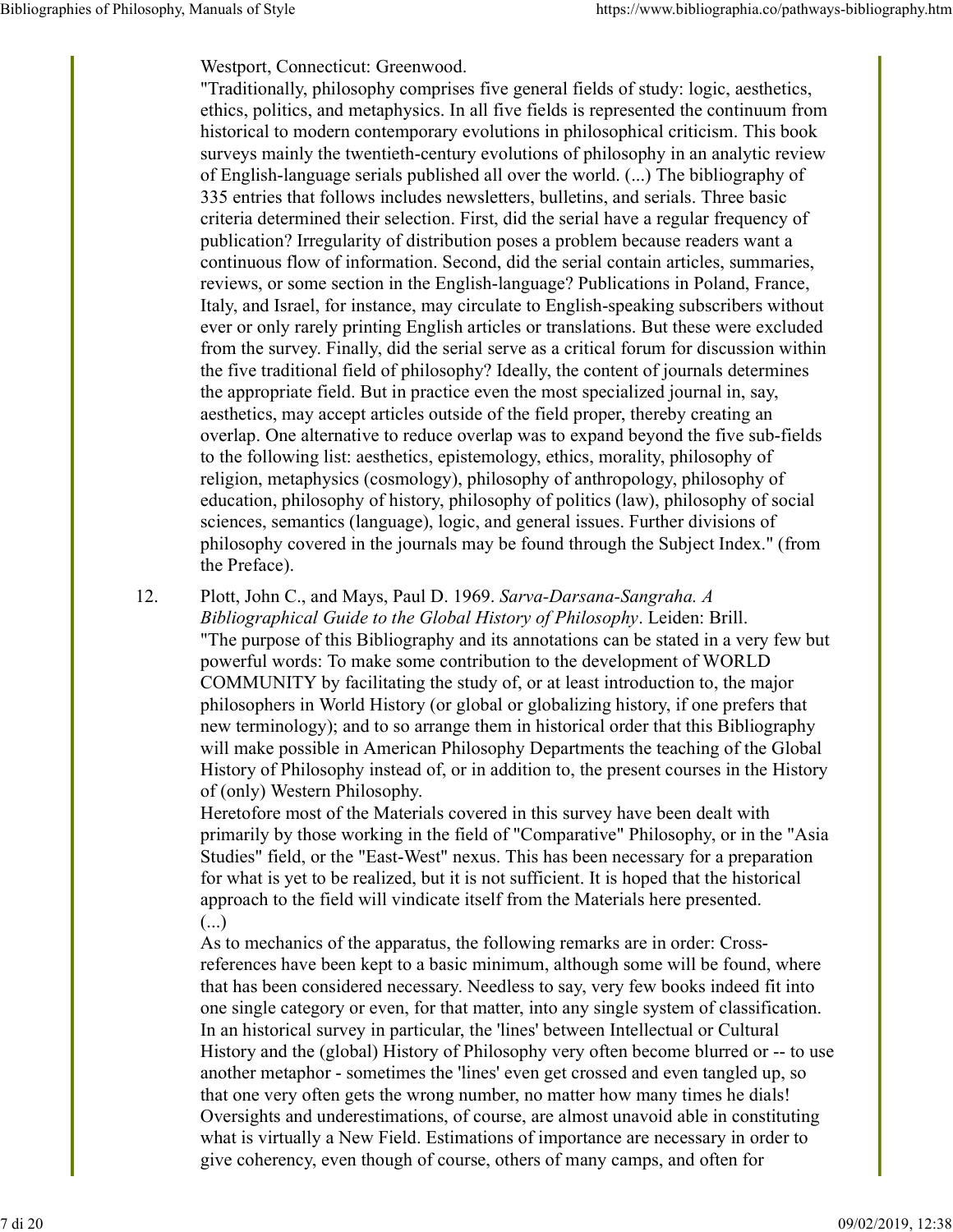Westport, Connecticut: Greenwood.

"Traditionally, philosophy comprises five general fields of study: logic, aesthetics, ethics, politics, and metaphysics. In all five fields is represented the continuum from historical to modern contemporary evolutions in philosophical criticism. This book surveys mainly the twentieth-century evolutions of philosophy in an analytic review of English-language serials published all over the world. (...) The bibliography of 335 entries that follows includes newsletters, bulletins, and serials. Three basic criteria determined their selection. First, did the serial have a regular frequency of publication? Irregularity of distribution poses a problem because readers want a continuous flow of information. Second, did the serial contain articles, summaries, reviews, or some section in the English-language? Publications in Poland, France, Italy, and Israel, for instance, may circulate to English-speaking subscribers without ever or only rarely printing English articles or translations. But these were excluded from the survey. Finally, did the serial serve as a critical forum for discussion within the five traditional field of philosophy? Ideally, the content of journals determines the appropriate field. But in practice even the most specialized journal in, say, aesthetics, may accept articles outside of the field proper, thereby creating an overlap. One alternative to reduce overlap was to expand beyond the five sub-fields to the following list: aesthetics, epistemology, ethics, morality, philosophy of religion, metaphysics (cosmology), philosophy of anthropology, philosophy of education, philosophy of history, philosophy of politics (law), philosophy of social sciences, semantics (language), logic, and general issues. Further divisions of philosophy covered in the journals may be found through the Subject Index." (from the Preface). Bibliographies of Philosophy, Manuals of Style https://www.bibliographia.co/pathways-bibliography.htm<br>
Westport, Connecticut: Greenwood.<br>
"Traditionally, philosophy comprises five general fields of study: logic, aesthetics

12. Plott, John C., and Mays, Paul D. 1969. Sarva-Darsana-Sangraha. A Bibliographical Guide to the Global History of Philosophy. Leiden: Brill. "The purpose of this Bibliography and its annotations can be stated in a very few but powerful words: To make some contribution to the development of WORLD COMMUNITY by facilitating the study of, or at least introduction to, the major philosophers in World History (or global or globalizing history, if one prefers that new terminology); and to so arrange them in historical order that this Bibliography will make possible in American Philosophy Departments the teaching of the Global History of Philosophy instead of, or in addition to, the present courses in the History of (only) Western Philosophy.

Heretofore most of the Materials covered in this survey have been dealt with primarily by those working in the field of "Comparative" Philosophy, or in the "Asia Studies" field, or the "East-West" nexus. This has been necessary for a preparation for what is yet to be realized, but it is not sufficient. It is hoped that the historical approach to the field will vindicate itself from the Materials here presented. (...)

As to mechanics of the apparatus, the following remarks are in order: Crossreferences have been kept to a basic minimum, although some will be found, where that has been considered necessary. Needless to say, very few books indeed fit into one single category or even, for that matter, into any single system of classification. In an historical survey in particular, the 'lines' between Intellectual or Cultural History and the (global) History of Philosophy very often become blurred or -- to use another metaphor - sometimes the 'lines' even get crossed and even tangled up, so that one very often gets the wrong number, no matter how many times he dials! Oversights and underestimations, of course, are almost unavoid able in constituting what is virtually a New Field. Estimations of importance are necessary in order to give coherency, even though of course, others of many camps, and often for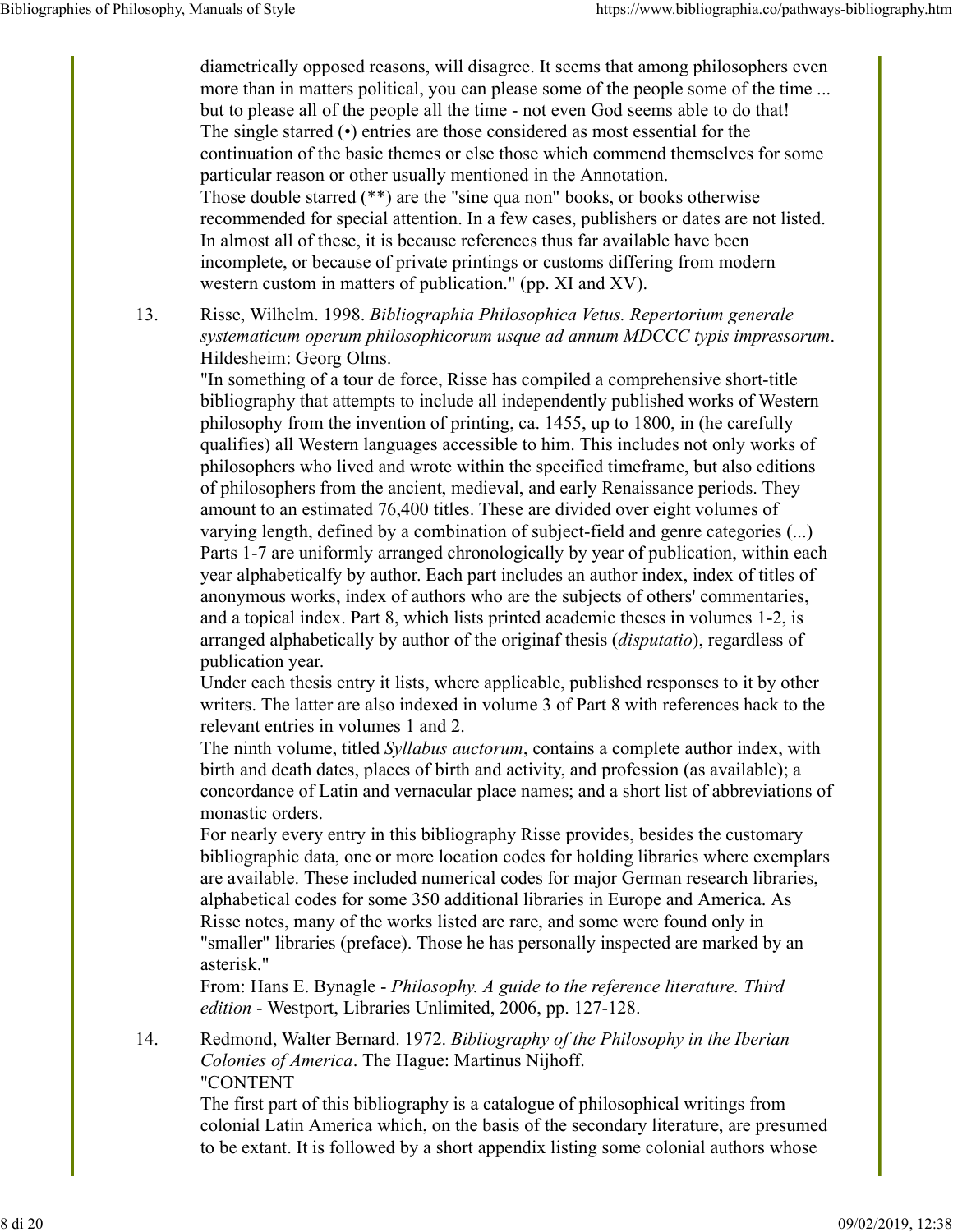diametrically opposed reasons, will disagree. It seems that among philosophers even more than in matters political, you can please some of the people some of the time ... but to please all of the people all the time - not even God seems able to do that! The single starred (•) entries are those considered as most essential for the continuation of the basic themes or else those which commend themselves for some particular reason or other usually mentioned in the Annotation. Those double starred (\*\*) are the "sine qua non" books, or books otherwise recommended for special attention. In a few cases, publishers or dates are not listed. In almost all of these, it is because references thus far available have been incomplete, or because of private printings or customs differing from modern western custom in matters of publication." (pp. XI and XV). Bibliographies of Philosophy, Manuals of Style https://www.bibliographia.co/pathways-bibliography.htm<br>diametrically opposed reasons, will disagree. It seems that among philosophers even<br>more than in matters political, you

> 13. Risse, Wilhelm. 1998. Bibliographia Philosophica Vetus. Repertorium generale systematicum operum philosophicorum usque ad annum MDCCC typis impressorum. Hildesheim: Georg Olms.

"In something of a tour de force, Risse has compiled a comprehensive short-title bibliography that attempts to include all independently published works of Western philosophy from the invention of printing, ca. 1455, up to 1800, in (he carefully qualifies) all Western languages accessible to him. This includes not only works of philosophers who lived and wrote within the specified timeframe, but also editions of philosophers from the ancient, medieval, and early Renaissance periods. They amount to an estimated 76,400 titles. These are divided over eight volumes of varying length, defined by a combination of subject-field and genre categories (...) Parts 1-7 are uniformly arranged chronologically by year of publication, within each year alphabeticalfy by author. Each part includes an author index, index of titles of anonymous works, index of authors who are the subjects of others' commentaries, and a topical index. Part 8, which lists printed academic theses in volumes 1-2, is arranged alphabetically by author of the originaf thesis (disputatio), regardless of publication year.

Under each thesis entry it lists, where applicable, published responses to it by other writers. The latter are also indexed in volume 3 of Part 8 with references hack to the relevant entries in volumes 1 and 2.

The ninth volume, titled Syllabus auctorum, contains a complete author index, with birth and death dates, places of birth and activity, and profession (as available); a concordance of Latin and vernacular place names; and a short list of abbreviations of monastic orders.

For nearly every entry in this bibliography Risse provides, besides the customary bibliographic data, one or more location codes for holding libraries where exemplars are available. These included numerical codes for major German research libraries, alphabetical codes for some 350 additional libraries in Europe and America. As Risse notes, many of the works listed are rare, and some were found only in "smaller" libraries (preface). Those he has personally inspected are marked by an asterisk."

From: Hans E. Bynagle - Philosophy. A guide to the reference literature. Third edition - Westport, Libraries Unlimited, 2006, pp. 127-128.

## 14. Redmond, Walter Bernard. 1972. Bibliography of the Philosophy in the Iberian Colonies of America. The Hague: Martinus Nijhoff. "CONTENT

The first part of this bibliography is a catalogue of philosophical writings from colonial Latin America which, on the basis of the secondary literature, are presumed to be extant. It is followed by a short appendix listing some colonial authors whose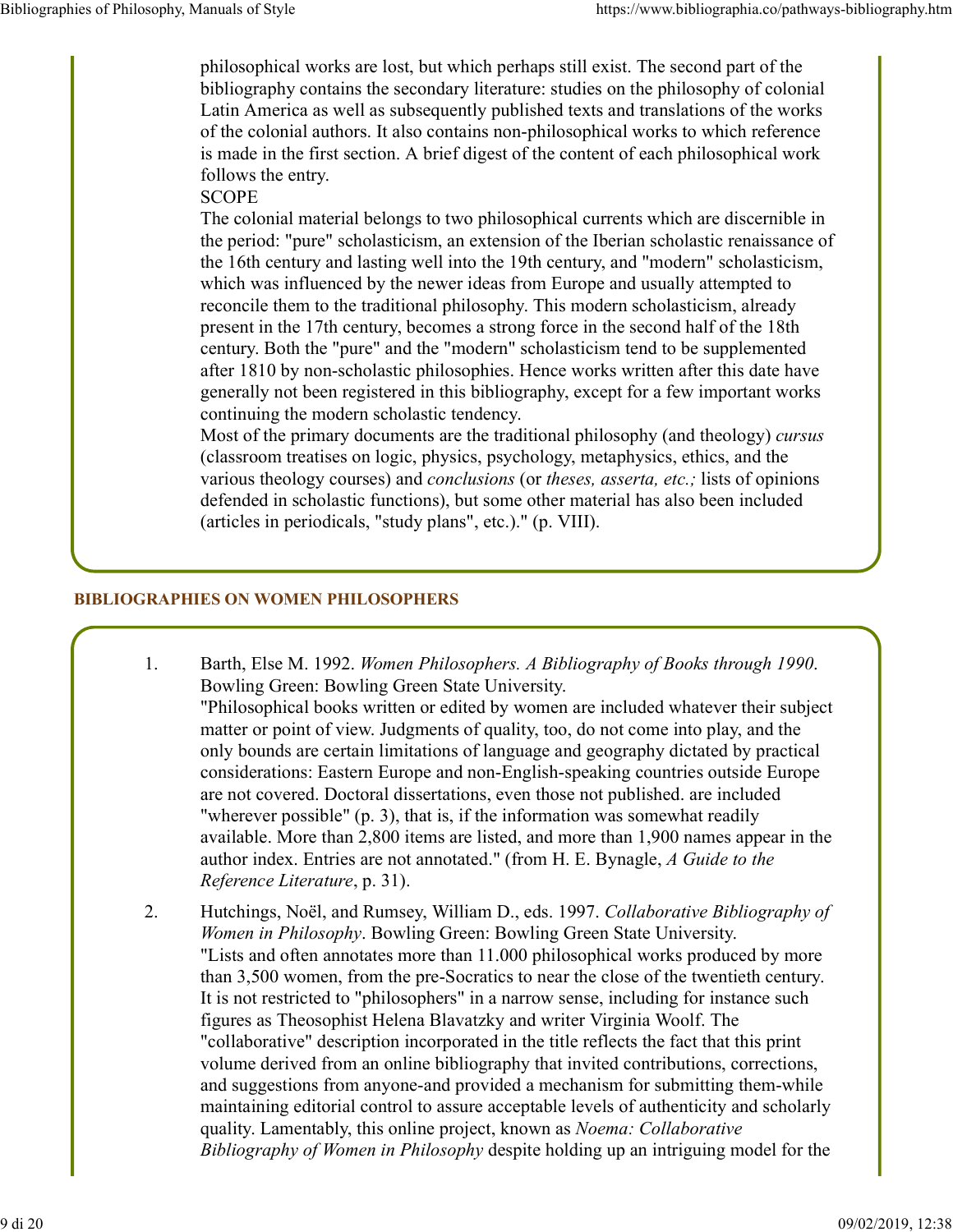philosophical works are lost, but which perhaps still exist. The second part of the bibliography contains the secondary literature: studies on the philosophy of colonial Latin America as well as subsequently published texts and translations of the works of the colonial authors. It also contains non-philosophical works to which reference is made in the first section. A brief digest of the content of each philosophical work follows the entry. Bibliographies of Philosophy, Manuals of Style<br>
philosophical works are lost, but which perhaps still exist. The second part of the<br>
bibliography contains the secondary literature: studies on the philosophy of colonial<br>
La

**SCOPE** 

The colonial material belongs to two philosophical currents which are discernible in the period: "pure" scholasticism, an extension of the Iberian scholastic renaissance of the 16th century and lasting well into the 19th century, and "modern" scholasticism, which was influenced by the newer ideas from Europe and usually attempted to reconcile them to the traditional philosophy. This modern scholasticism, already present in the 17th century, becomes a strong force in the second half of the 18th century. Both the "pure" and the "modern" scholasticism tend to be supplemented after 1810 by non-scholastic philosophies. Hence works written after this date have generally not been registered in this bibliography, except for a few important works continuing the modern scholastic tendency.

Most of the primary documents are the traditional philosophy (and theology) cursus (classroom treatises on logic, physics, psychology, metaphysics, ethics, and the various theology courses) and conclusions (or theses, asserta, etc.; lists of opinions defended in scholastic functions), but some other material has also been included (articles in periodicals, "study plans", etc.)." (p. VIII).

### BIBLIOGRAPHIES ON WOMEN PHILOSOPHERS

- 1. Barth, Else M. 1992. Women Philosophers. A Bibliography of Books through 1990. Bowling Green: Bowling Green State University. "Philosophical books written or edited by women are included whatever their subject matter or point of view. Judgments of quality, too, do not come into play, and the only bounds are certain limitations of language and geography dictated by practical considerations: Eastern Europe and non-English-speaking countries outside Europe are not covered. Doctoral dissertations, even those not published. are included "wherever possible" (p. 3), that is, if the information was somewhat readily available. More than 2,800 items are listed, and more than 1,900 names appear in the author index. Entries are not annotated." (from H. E. Bynagle, A Guide to the Reference Literature, p. 31).
- 2. Hutchings, Noël, and Rumsey, William D., eds. 1997. Collaborative Bibliography of Women in Philosophy. Bowling Green: Bowling Green State University. "Lists and often annotates more than 11.000 philosophical works produced by more than 3,500 women, from the pre-Socratics to near the close of the twentieth century. It is not restricted to "philosophers" in a narrow sense, including for instance such figures as Theosophist Helena Blavatzky and writer Virginia Woolf. The "collaborative" description incorporated in the title reflects the fact that this print volume derived from an online bibliography that invited contributions, corrections, and suggestions from anyone-and provided a mechanism for submitting them-while maintaining editorial control to assure acceptable levels of authenticity and scholarly quality. Lamentably, this online project, known as Noema: Collaborative Bibliography of Women in Philosophy despite holding up an intriguing model for the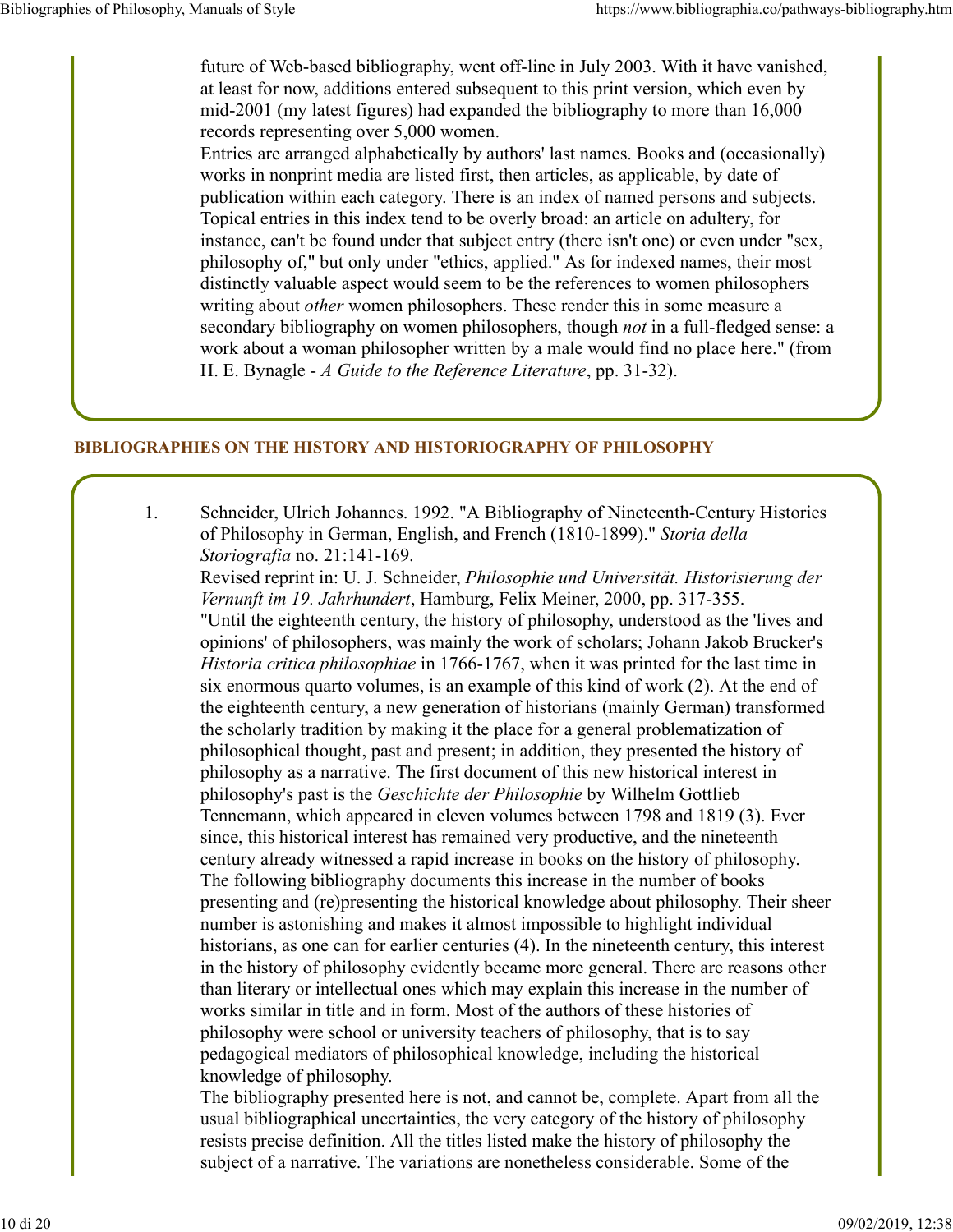future of Web-based bibliography, went off-line in July 2003. With it have vanished, at least for now, additions entered subsequent to this print version, which even by mid-2001 (my latest figures) had expanded the bibliography to more than 16,000 records representing over 5,000 women. Bibliographies of Philosophy, Manuals of Style<br>https://www.bibliographia.co/pathways-bibliography.htm<br>future of Web-based bibliography, went off-line in July 2003. With it have vanished,<br>at least for now, additions entered

> Entries are arranged alphabetically by authors' last names. Books and (occasionally) works in nonprint media are listed first, then articles, as applicable, by date of publication within each category. There is an index of named persons and subjects. Topical entries in this index tend to be overly broad: an article on adultery, for instance, can't be found under that subject entry (there isn't one) or even under "sex, philosophy of," but only under "ethics, applied." As for indexed names, their most distinctly valuable aspect would seem to be the references to women philosophers writing about *other* women philosophers. These render this in some measure a secondary bibliography on women philosophers, though *not* in a full-fledged sense: a work about a woman philosopher written by a male would find no place here." (from H. E. Bynagle - A Guide to the Reference Literature, pp. 31-32).

### BIBLIOGRAPHIES ON THE HISTORY AND HISTORIOGRAPHY OF PHILOSOPHY

1. Schneider, Ulrich Johannes. 1992. "A Bibliography of Nineteenth-Century Histories of Philosophy in German, English, and French (1810-1899)." Storia della Storiografia no. 21:141-169.

Revised reprint in: U. J. Schneider, Philosophie und Universität. Historisierung der Vernunft im 19. Jahrhundert, Hamburg, Felix Meiner, 2000, pp. 317-355. "Until the eighteenth century, the history of philosophy, understood as the 'lives and opinions' of philosophers, was mainly the work of scholars; Johann Jakob Brucker's Historia critica philosophiae in 1766-1767, when it was printed for the last time in six enormous quarto volumes, is an example of this kind of work (2). At the end of the eighteenth century, a new generation of historians (mainly German) transformed the scholarly tradition by making it the place for a general problematization of philosophical thought, past and present; in addition, they presented the history of philosophy as a narrative. The first document of this new historical interest in philosophy's past is the Geschichte der Philosophie by Wilhelm Gottlieb Tennemann, which appeared in eleven volumes between 1798 and 1819 (3). Ever since, this historical interest has remained very productive, and the nineteenth century already witnessed a rapid increase in books on the history of philosophy. The following bibliography documents this increase in the number of books presenting and (re)presenting the historical knowledge about philosophy. Their sheer number is astonishing and makes it almost impossible to highlight individual historians, as one can for earlier centuries (4). In the nineteenth century, this interest in the history of philosophy evidently became more general. There are reasons other than literary or intellectual ones which may explain this increase in the number of works similar in title and in form. Most of the authors of these histories of philosophy were school or university teachers of philosophy, that is to say pedagogical mediators of philosophical knowledge, including the historical knowledge of philosophy.

The bibliography presented here is not, and cannot be, complete. Apart from all the usual bibliographical uncertainties, the very category of the history of philosophy resists precise definition. All the titles listed make the history of philosophy the subject of a narrative. The variations are nonetheless considerable. Some of the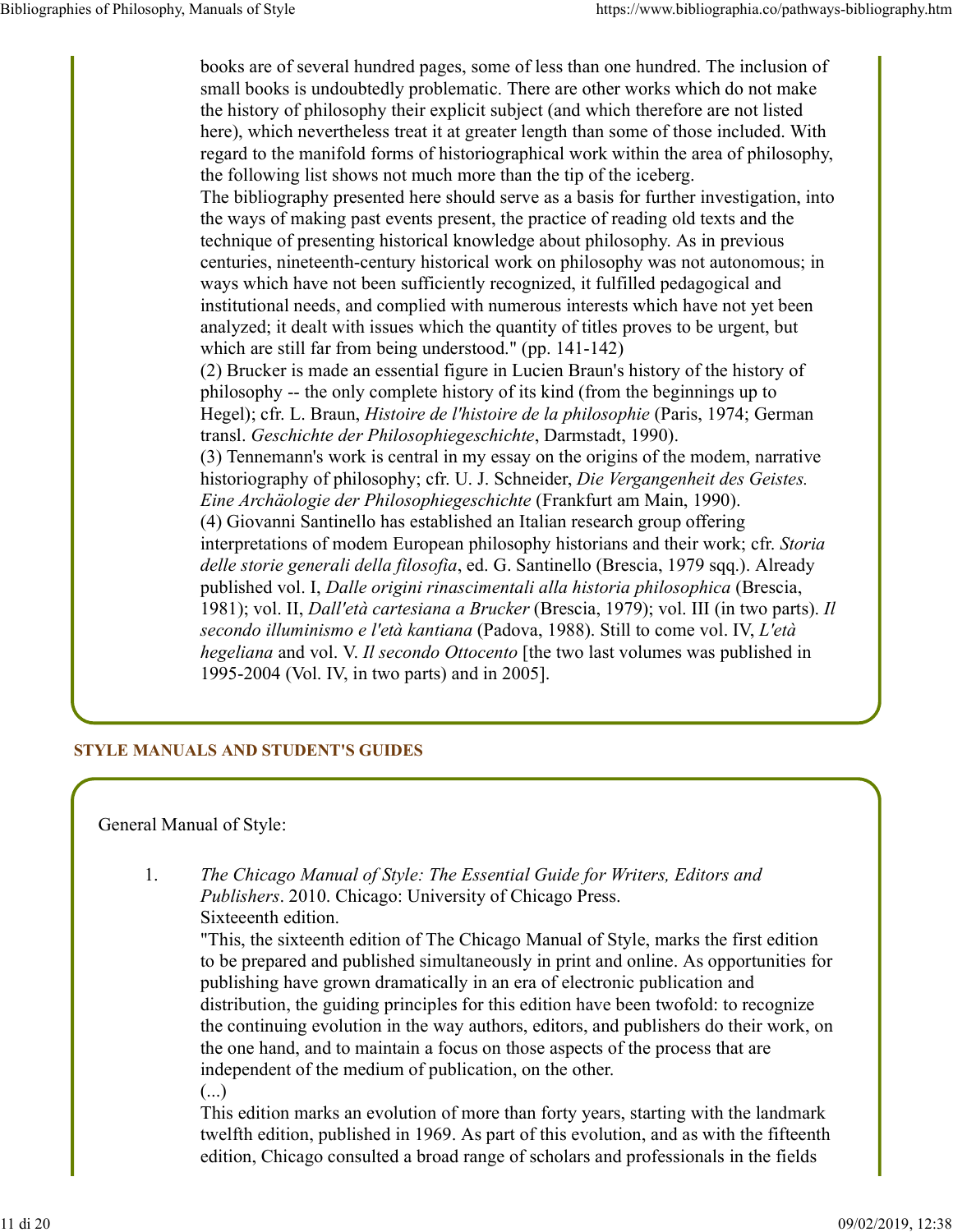books are of several hundred pages, some of less than one hundred. The inclusion of small books is undoubtedly problematic. There are other works which do not make the history of philosophy their explicit subject (and which therefore are not listed here), which nevertheless treat it at greater length than some of those included. With regard to the manifold forms of historiographical work within the area of philosophy, the following list shows not much more than the tip of the iceberg. The bibliography presented here should serve as a basis for further investigation, into the ways of making past events present, the practice of reading old texts and the technique of presenting historical knowledge about philosophy. As in previous centuries, nineteenth-century historical work on philosophy was not autonomous; in ways which have not been sufficiently recognized, it fulfilled pedagogical and institutional needs, and complied with numerous interests which have not yet been analyzed; it dealt with issues which the quantity of titles proves to be urgent, but which are still far from being understood." (pp. 141-142) (2) Brucker is made an essential figure in Lucien Braun's history of the history of philosophy -- the only complete history of its kind (from the beginnings up to Hegel); cfr. L. Braun, *Histoire de l'histoire de la philosophie* (Paris, 1974; German transl. Geschichte der Philosophiegeschichte, Darmstadt, 1990). (3) Tennemann's work is central in my essay on the origins of the modem, narrative historiography of philosophy; cfr. U. J. Schneider, Die Vergangenheit des Geistes. Eine Archäologie der Philosophiegeschichte (Frankfurt am Main, 1990). (4) Giovanni Santinello has established an Italian research group offering interpretations of modem European philosophy historians and their work; cfr. Storia delle storie generali della filosofia, ed. G. Santinello (Brescia, 1979 sqq.). Already published vol. I, Dalle origini rinascimentali alla historia philosophica (Brescia, 1981); vol. II, Dall'età cartesiana a Brucker (Brescia, 1979); vol. III (in two parts). Il secondo illuminismo e l'età kantiana (Padova, 1988). Still to come vol. IV, L'età hegeliana and vol. V. Il secondo Ottocento [the two last volumes was published in 1995-2004 (Vol. IV, in two parts) and in 2005]. Bibliographies of Philosophy, Manuals of Style<br>books are of several hundred pages, some of less than one hundred. The inclusion of<br>small books is undoubtedly problematic. There are other works which do not make<br>the history

### STYLE MANUALS AND STUDENT'S GUIDES

General Manual of Style:

1. The Chicago Manual of Style: The Essential Guide for Writers, Editors and Publishers. 2010. Chicago: University of Chicago Press. Sixteeenth edition.

"This, the sixteenth edition of The Chicago Manual of Style, marks the first edition to be prepared and published simultaneously in print and online. As opportunities for publishing have grown dramatically in an era of electronic publication and distribution, the guiding principles for this edition have been twofold: to recognize the continuing evolution in the way authors, editors, and publishers do their work, on the one hand, and to maintain a focus on those aspects of the process that are independent of the medium of publication, on the other.

(...)

This edition marks an evolution of more than forty years, starting with the landmark twelfth edition, published in 1969. As part of this evolution, and as with the fifteenth edition, Chicago consulted a broad range of scholars and professionals in the fields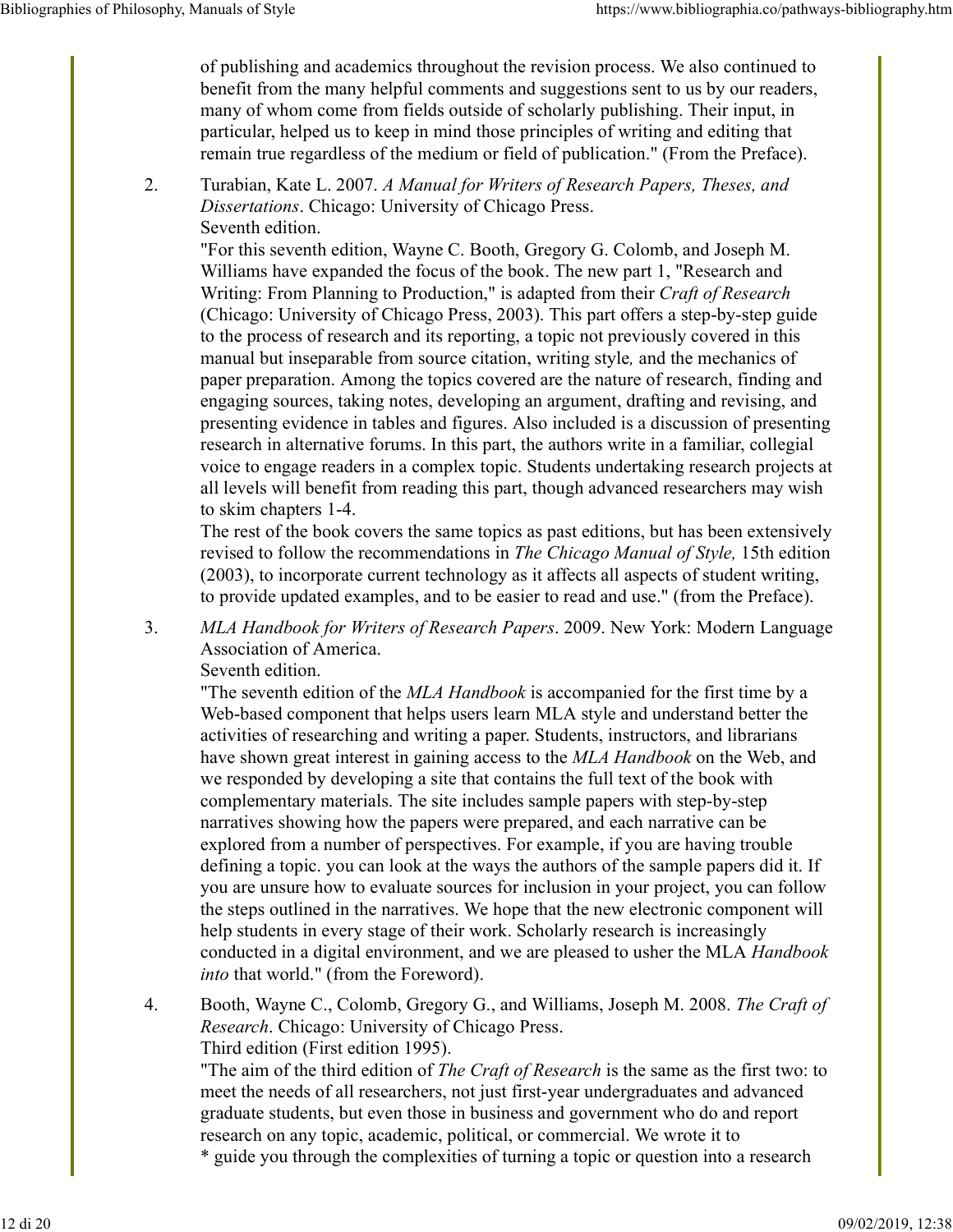of publishing and academics throughout the revision process. We also continued to benefit from the many helpful comments and suggestions sent to us by our readers, many of whom come from fields outside of scholarly publishing. Their input, in particular, helped us to keep in mind those principles of writing and editing that remain true regardless of the medium or field of publication." (From the Preface). Bibliographies of Philosophy, Manuals of Style<br>
of publishing and academics throughout the revision process. We also continued to<br>
benefit from the many helpful comments and suggestions sent to us by our readers,<br>
many of

> 2. Turabian, Kate L. 2007. A Manual for Writers of Research Papers, Theses, and Dissertations. Chicago: University of Chicago Press. Seventh edition.

"For this seventh edition, Wayne C. Booth, Gregory G. Colomb, and Joseph M. Williams have expanded the focus of the book. The new part 1, "Research and Writing: From Planning to Production," is adapted from their Craft of Research (Chicago: University of Chicago Press, 2003). This part offers a step-by-step guide to the process of research and its reporting, a topic not previously covered in this manual but inseparable from source citation, writing style, and the mechanics of paper preparation. Among the topics covered are the nature of research, finding and engaging sources, taking notes, developing an argument, drafting and revising, and presenting evidence in tables and figures. Also included is a discussion of presenting research in alternative forums. In this part, the authors write in a familiar, collegial voice to engage readers in a complex topic. Students undertaking research projects at all levels will benefit from reading this part, though advanced researchers may wish to skim chapters 1-4.

The rest of the book covers the same topics as past editions, but has been extensively revised to follow the recommendations in The Chicago Manual of Style, 15th edition (2003), to incorporate current technology as it affects all aspects of student writing, to provide updated examples, and to be easier to read and use." (from the Preface).

3. MLA Handbook for Writers of Research Papers. 2009. New York: Modern Language Association of America.

Seventh edition.

"The seventh edition of the MLA Handbook is accompanied for the first time by a Web-based component that helps users learn MLA style and understand better the activities of researching and writing a paper. Students, instructors, and librarians have shown great interest in gaining access to the MLA Handbook on the Web, and we responded by developing a site that contains the full text of the book with complementary materials. The site includes sample papers with step-by-step narratives showing how the papers were prepared, and each narrative can be explored from a number of perspectives. For example, if you are having trouble defining a topic. you can look at the ways the authors of the sample papers did it. If you are unsure how to evaluate sources for inclusion in your project, you can follow the steps outlined in the narratives. We hope that the new electronic component will help students in every stage of their work. Scholarly research is increasingly conducted in a digital environment, and we are pleased to usher the MLA *Handbook* into that world." (from the Foreword).

4. Booth, Wayne C., Colomb, Gregory G., and Williams, Joseph M. 2008. The Craft of Research. Chicago: University of Chicago Press.

Third edition (First edition 1995).

"The aim of the third edition of *The Craft of Research* is the same as the first two: to meet the needs of all researchers, not just first-year undergraduates and advanced graduate students, but even those in business and government who do and report research on any topic, academic, political, or commercial. We wrote it to \* guide you through the complexities of turning a topic or question into a research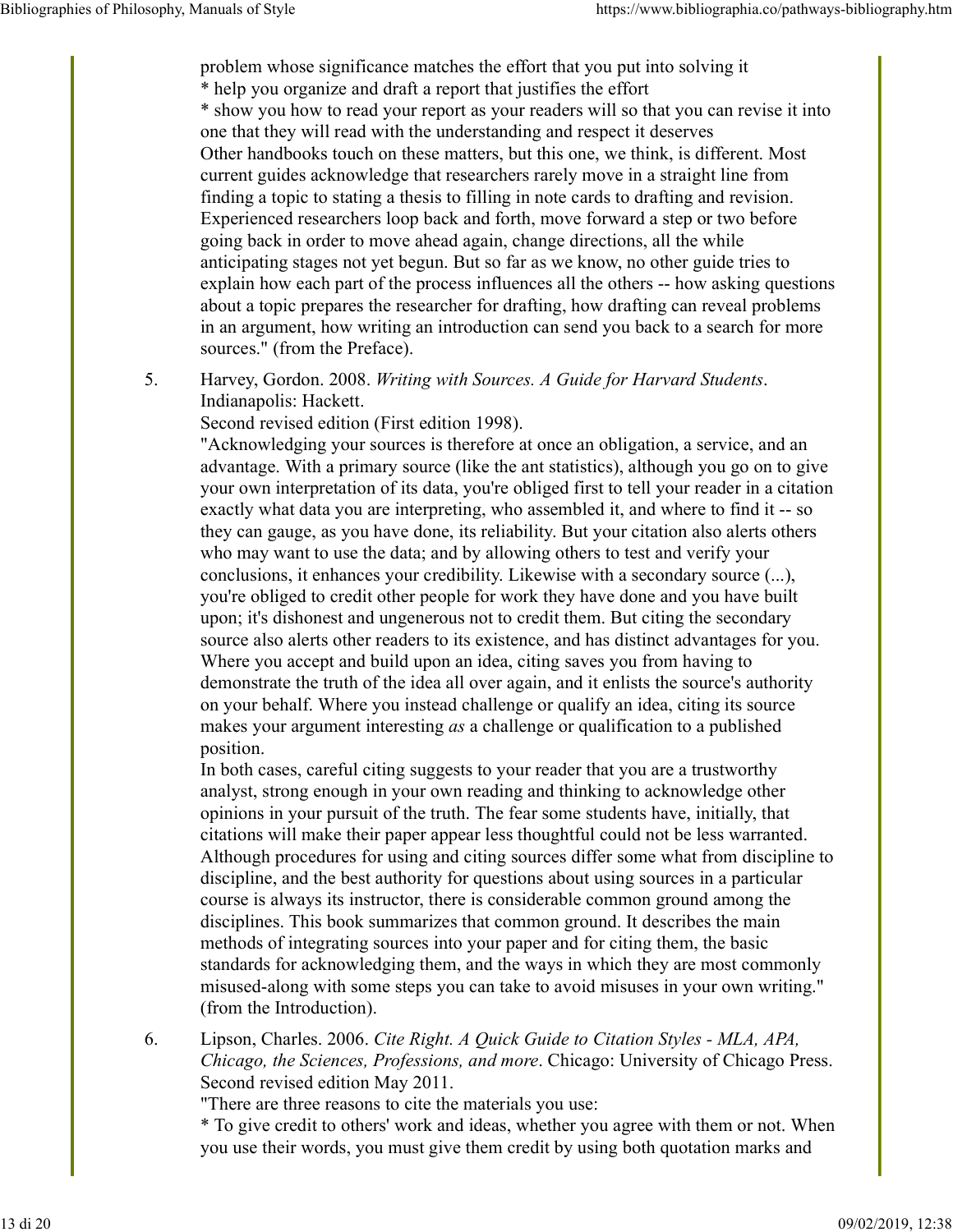problem whose significance matches the effort that you put into solving it \* help you organize and draft a report that justifies the effort Bibliographies of Philosophy, Manuals of Style<br>problem whose significance matches the effort that you put into solving it<br>\* help you organize and draft a report that justifies the effort<br>\* show you how to read your report

\* show you how to read your report as your readers will so that you can revise it into one that they will read with the understanding and respect it deserves Other handbooks touch on these matters, but this one, we think, is different. Most current guides acknowledge that researchers rarely move in a straight line from finding a topic to stating a thesis to filling in note cards to drafting and revision. Experienced researchers loop back and forth, move forward a step or two before going back in order to move ahead again, change directions, all the while anticipating stages not yet begun. But so far as we know, no other guide tries to explain how each part of the process influences all the others -- how asking questions about a topic prepares the researcher for drafting, how drafting can reveal problems in an argument, how writing an introduction can send you back to a search for more sources." (from the Preface).

5. Harvey, Gordon. 2008. Writing with Sources. A Guide for Harvard Students. Indianapolis: Hackett.

Second revised edition (First edition 1998).

"Acknowledging your sources is therefore at once an obligation, a service, and an advantage. With a primary source (like the ant statistics), although you go on to give your own interpretation of its data, you're obliged first to tell your reader in a citation exactly what data you are interpreting, who assembled it, and where to find it -- so they can gauge, as you have done, its reliability. But your citation also alerts others who may want to use the data; and by allowing others to test and verify your conclusions, it enhances your credibility. Likewise with a secondary source (...), you're obliged to credit other people for work they have done and you have built upon; it's dishonest and ungenerous not to credit them. But citing the secondary source also alerts other readers to its existence, and has distinct advantages for you. Where you accept and build upon an idea, citing saves you from having to demonstrate the truth of the idea all over again, and it enlists the source's authority on your behalf. Where you instead challenge or qualify an idea, citing its source makes your argument interesting as a challenge or qualification to a published position.

In both cases, careful citing suggests to your reader that you are a trustworthy analyst, strong enough in your own reading and thinking to acknowledge other opinions in your pursuit of the truth. The fear some students have, initially, that citations will make their paper appear less thoughtful could not be less warranted. Although procedures for using and citing sources differ some what from discipline to discipline, and the best authority for questions about using sources in a particular course is always its instructor, there is considerable common ground among the disciplines. This book summarizes that common ground. It describes the main methods of integrating sources into your paper and for citing them, the basic standards for acknowledging them, and the ways in which they are most commonly misused-along with some steps you can take to avoid misuses in your own writing." (from the Introduction).

6. Lipson, Charles. 2006. *Cite Right. A Quick Guide to Citation Styles - MLA, APA*, Chicago, the Sciences, Professions, and more. Chicago: University of Chicago Press. Second revised edition May 2011.

"There are three reasons to cite the materials you use:

\* To give credit to others' work and ideas, whether you agree with them or not. When you use their words, you must give them credit by using both quotation marks and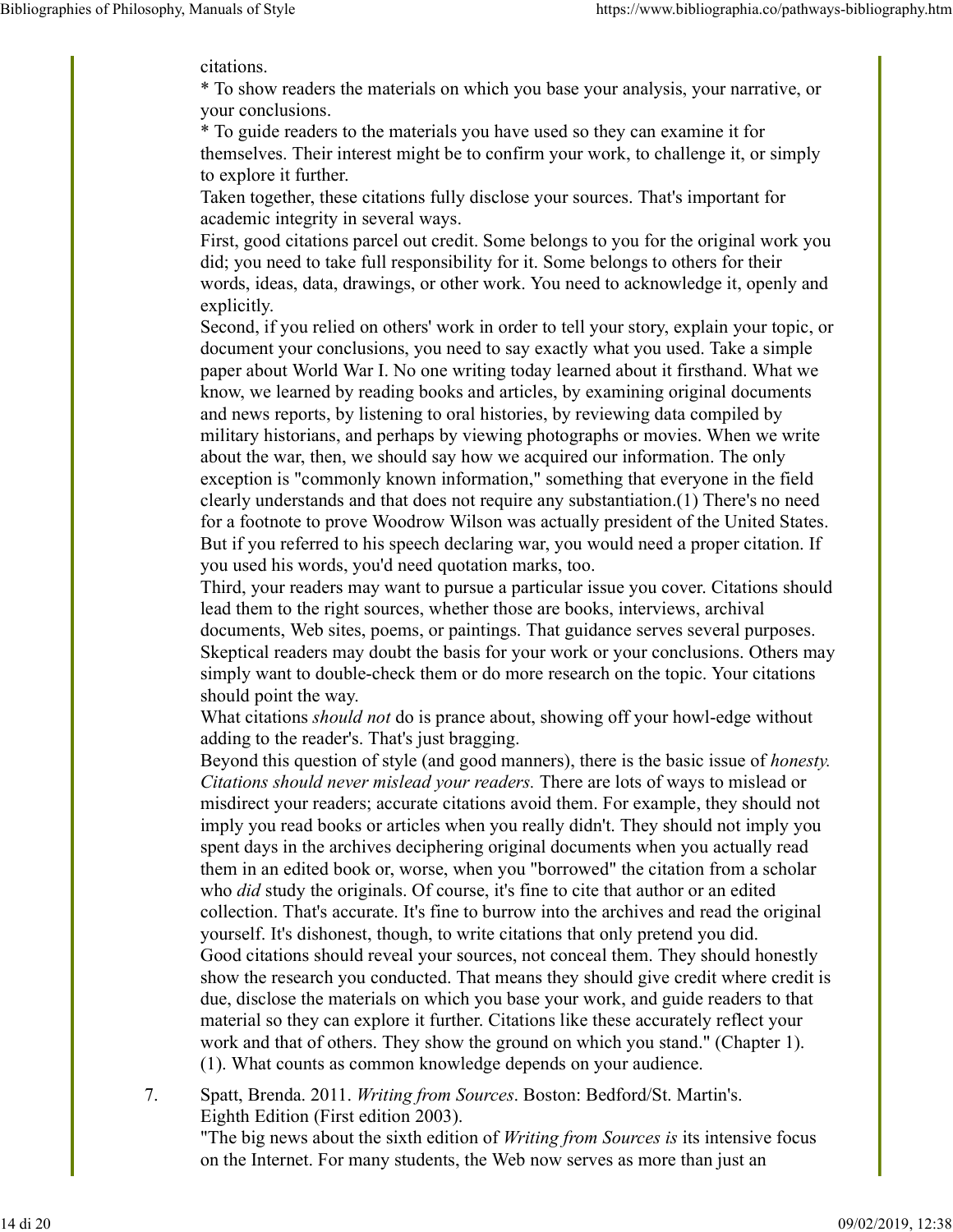citations.

\* To show readers the materials on which you base your analysis, your narrative, or your conclusions. Bibliographies of Philosophy, Manuals of Style<br>
citations.<br>
\* To show readers the materials on which you base your analysis, your narrative, or<br>
your conclusions

> \* To guide readers to the materials you have used so they can examine it for themselves. Their interest might be to confirm your work, to challenge it, or simply to explore it further.

Taken together, these citations fully disclose your sources. That's important for academic integrity in several ways.

First, good citations parcel out credit. Some belongs to you for the original work you did; you need to take full responsibility for it. Some belongs to others for their words, ideas, data, drawings, or other work. You need to acknowledge it, openly and explicitly.

Second, if you relied on others' work in order to tell your story, explain your topic, or document your conclusions, you need to say exactly what you used. Take a simple paper about World War I. No one writing today learned about it firsthand. What we know, we learned by reading books and articles, by examining original documents and news reports, by listening to oral histories, by reviewing data compiled by military historians, and perhaps by viewing photographs or movies. When we write about the war, then, we should say how we acquired our information. The only exception is "commonly known information," something that everyone in the field clearly understands and that does not require any substantiation.(1) There's no need for a footnote to prove Woodrow Wilson was actually president of the United States. But if you referred to his speech declaring war, you would need a proper citation. If you used his words, you'd need quotation marks, too.

Third, your readers may want to pursue a particular issue you cover. Citations should lead them to the right sources, whether those are books, interviews, archival documents, Web sites, poems, or paintings. That guidance serves several purposes. Skeptical readers may doubt the basis for your work or your conclusions. Others may simply want to double-check them or do more research on the topic. Your citations should point the way.

What citations *should not* do is prance about, showing off your howl-edge without adding to the reader's. That's just bragging.

Beyond this question of style (and good manners), there is the basic issue of honesty. Citations should never mislead your readers. There are lots of ways to mislead or misdirect your readers; accurate citations avoid them. For example, they should not imply you read books or articles when you really didn't. They should not imply you spent days in the archives deciphering original documents when you actually read them in an edited book or, worse, when you "borrowed" the citation from a scholar who *did* study the originals. Of course, it's fine to cite that author or an edited collection. That's accurate. It's fine to burrow into the archives and read the original yourself. It's dishonest, though, to write citations that only pretend you did. Good citations should reveal your sources, not conceal them. They should honestly show the research you conducted. That means they should give credit where credit is due, disclose the materials on which you base your work, and guide readers to that material so they can explore it further. Citations like these accurately reflect your work and that of others. They show the ground on which you stand." (Chapter 1). (1). What counts as common knowledge depends on your audience.

7. Spatt, Brenda. 2011. *Writing from Sources*. Boston: Bedford/St. Martin's. Eighth Edition (First edition 2003).

The big news about the sixth edition of *Writing from Sources is* its intensive focus on the Internet. For many students, the Web now serves as more than just an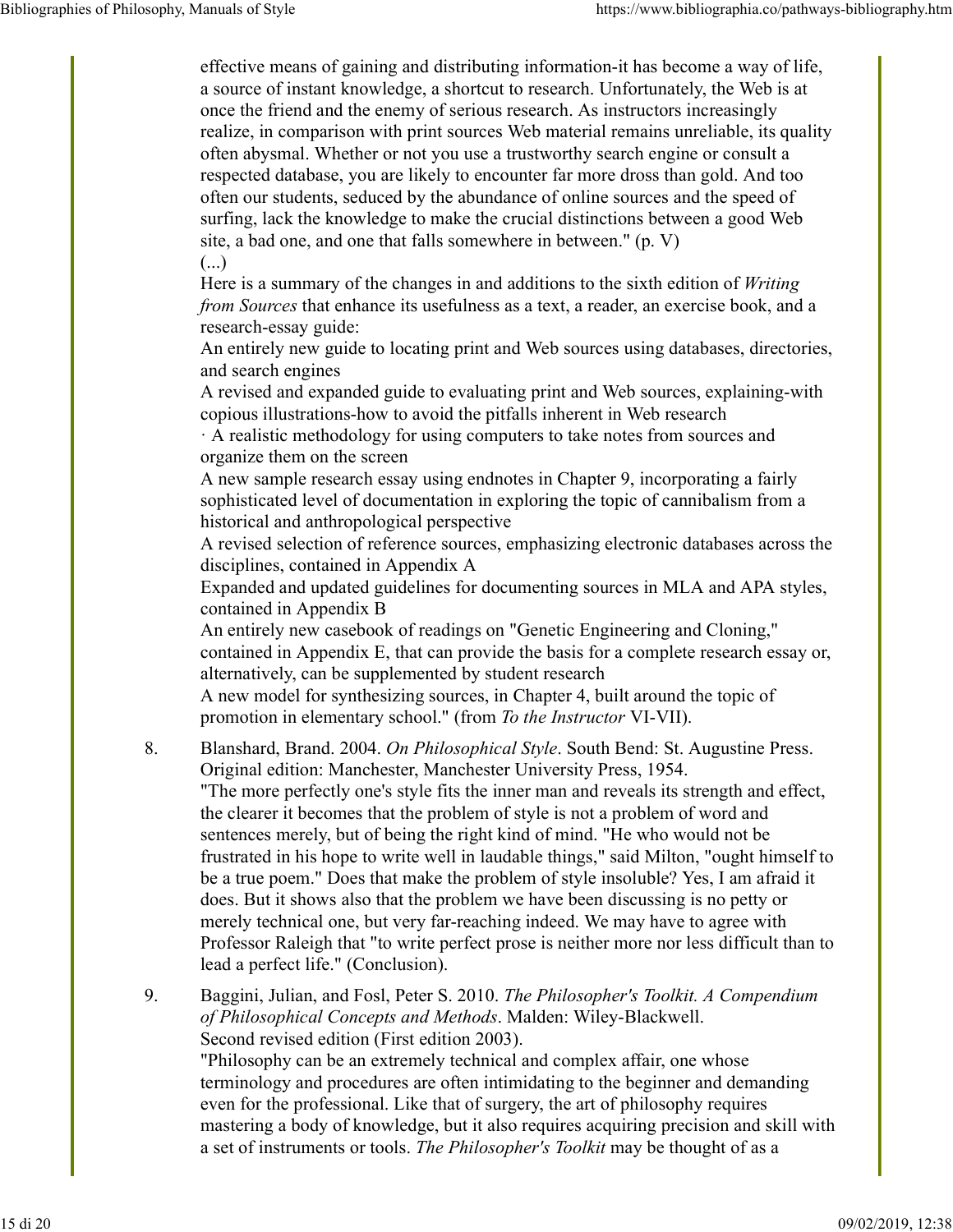effective means of gaining and distributing information-it has become a way of life, a source of instant knowledge, a shortcut to research. Unfortunately, the Web is at once the friend and the enemy of serious research. As instructors increasingly realize, in comparison with print sources Web material remains unreliable, its quality often abysmal. Whether or not you use a trustworthy search engine or consult a respected database, you are likely to encounter far more dross than gold. And too often our students, seduced by the abundance of online sources and the speed of surfing, lack the knowledge to make the crucial distinctions between a good Web site, a bad one, and one that falls somewhere in between." (p. V) (...) Bibliographies of Philosophy, Manuals of Style<br>
effective means of gaining and distributing information-it has become a way of life,<br>
a source of instant knowledge, a shortcut to research. Unfortunately, the Web is at<br>
onc

> Here is a summary of the changes in and additions to the sixth edition of *Writing* from Sources that enhance its usefulness as a text, a reader, an exercise book, and a research-essay guide:

An entirely new guide to locating print and Web sources using databases, directories, and search engines

A revised and expanded guide to evaluating print and Web sources, explaining-with copious illustrations-how to avoid the pitfalls inherent in Web research

· A realistic methodology for using computers to take notes from sources and organize them on the screen

A new sample research essay using endnotes in Chapter 9, incorporating a fairly sophisticated level of documentation in exploring the topic of cannibalism from a historical and anthropological perspective

A revised selection of reference sources, emphasizing electronic databases across the disciplines, contained in Appendix A

Expanded and updated guidelines for documenting sources in MLA and APA styles, contained in Appendix B

An entirely new casebook of readings on "Genetic Engineering and Cloning," contained in Appendix E, that can provide the basis for a complete research essay or, alternatively, can be supplemented by student research

A new model for synthesizing sources, in Chapter 4, built around the topic of promotion in elementary school." (from To the Instructor VI-VII).

- 8. Blanshard, Brand. 2004. On Philosophical Style. South Bend: St. Augustine Press. Original edition: Manchester, Manchester University Press, 1954. "The more perfectly one's style fits the inner man and reveals its strength and effect, the clearer it becomes that the problem of style is not a problem of word and sentences merely, but of being the right kind of mind. "He who would not be frustrated in his hope to write well in laudable things," said Milton, "ought himself to be a true poem." Does that make the problem of style insoluble? Yes, I am afraid it does. But it shows also that the problem we have been discussing is no petty or merely technical one, but very far-reaching indeed. We may have to agree with Professor Raleigh that "to write perfect prose is neither more nor less difficult than to lead a perfect life." (Conclusion).
- 9. Baggini, Julian, and Fosl, Peter S. 2010. The Philosopher's Toolkit. A Compendium of Philosophical Concepts and Methods. Malden: Wiley-Blackwell. Second revised edition (First edition 2003). "Philosophy can be an extremely technical and complex affair, one whose terminology and procedures are often intimidating to the beginner and demanding even for the professional. Like that of surgery, the art of philosophy requires mastering a body of knowledge, but it also requires acquiring precision and skill with a set of instruments or tools. The Philosopher's Toolkit may be thought of as a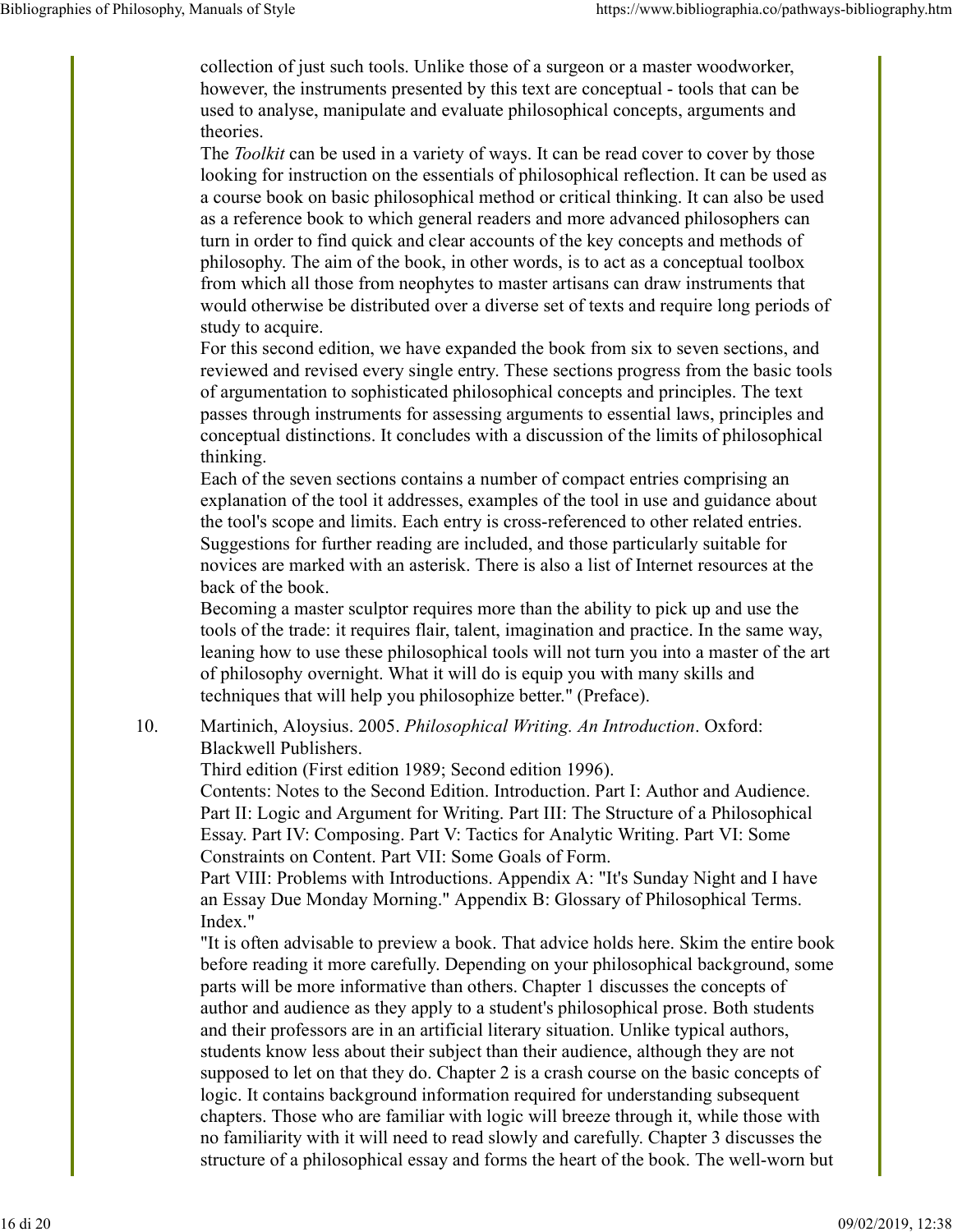collection of just such tools. Unlike those of a surgeon or a master woodworker, however, the instruments presented by this text are conceptual - tools that can be used to analyse, manipulate and evaluate philosophical concepts, arguments and theories. Bibliographies of Philosophy, Manuals of Style<br>
collection of just such tools. Unlike those of a surgeon or a master woodworker,<br>
however, the instruments presented by this text are conceptual - tools that can be<br>
used to

The Toolkit can be used in a variety of ways. It can be read cover to cover by those looking for instruction on the essentials of philosophical reflection. It can be used as a course book on basic philosophical method or critical thinking. It can also be used as a reference book to which general readers and more advanced philosophers can turn in order to find quick and clear accounts of the key concepts and methods of philosophy. The aim of the book, in other words, is to act as a conceptual toolbox from which all those from neophytes to master artisans can draw instruments that would otherwise be distributed over a diverse set of texts and require long periods of study to acquire.

For this second edition, we have expanded the book from six to seven sections, and reviewed and revised every single entry. These sections progress from the basic tools of argumentation to sophisticated philosophical concepts and principles. The text passes through instruments for assessing arguments to essential laws, principles and conceptual distinctions. It concludes with a discussion of the limits of philosophical thinking.

Each of the seven sections contains a number of compact entries comprising an explanation of the tool it addresses, examples of the tool in use and guidance about the tool's scope and limits. Each entry is cross-referenced to other related entries. Suggestions for further reading are included, and those particularly suitable for novices are marked with an asterisk. There is also a list of Internet resources at the back of the book.

Becoming a master sculptor requires more than the ability to pick up and use the tools of the trade: it requires flair, talent, imagination and practice. In the same way, leaning how to use these philosophical tools will not turn you into a master of the art of philosophy overnight. What it will do is equip you with many skills and techniques that will help you philosophize better." (Preface).

# 10. Martinich, Aloysius. 2005. Philosophical Writing. An Introduction. Oxford: Blackwell Publishers.

Third edition (First edition 1989; Second edition 1996).

Contents: Notes to the Second Edition. Introduction. Part I: Author and Audience. Part II: Logic and Argument for Writing. Part III: The Structure of a Philosophical Essay. Part IV: Composing. Part V: Tactics for Analytic Writing. Part VI: Some Constraints on Content. Part VII: Some Goals of Form.

Part VIII: Problems with Introductions. Appendix A: "It's Sunday Night and I have an Essay Due Monday Morning." Appendix B: Glossary of Philosophical Terms. Index."

"It is often advisable to preview a book. That advice holds here. Skim the entire book before reading it more carefully. Depending on your philosophical background, some parts will be more informative than others. Chapter 1 discusses the concepts of author and audience as they apply to a student's philosophical prose. Both students and their professors are in an artificial literary situation. Unlike typical authors, students know less about their subject than their audience, although they are not supposed to let on that they do. Chapter 2 is a crash course on the basic concepts of logic. It contains background information required for understanding subsequent chapters. Those who are familiar with logic will breeze through it, while those with no familiarity with it will need to read slowly and carefully. Chapter 3 discusses the structure of a philosophical essay and forms the heart of the book. The well-worn but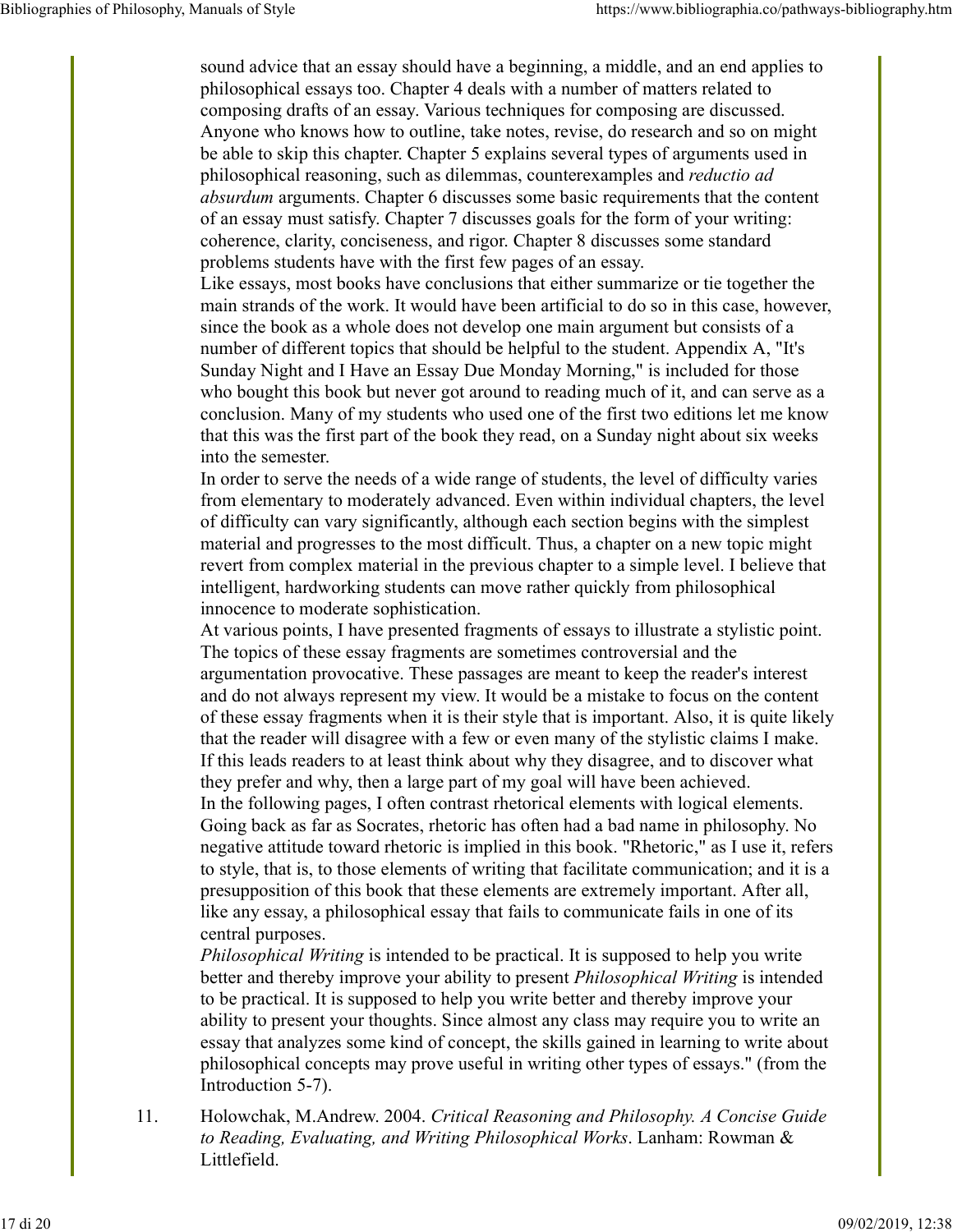sound advice that an essay should have a beginning, a middle, and an end applies to philosophical essays too. Chapter 4 deals with a number of matters related to composing drafts of an essay. Various techniques for composing are discussed. Anyone who knows how to outline, take notes, revise, do research and so on might be able to skip this chapter. Chapter 5 explains several types of arguments used in philosophical reasoning, such as dilemmas, counterexamples and reductio ad absurdum arguments. Chapter 6 discusses some basic requirements that the content of an essay must satisfy. Chapter 7 discusses goals for the form of your writing: coherence, clarity, conciseness, and rigor. Chapter 8 discusses some standard problems students have with the first few pages of an essay. Bibliographies of Philosophy, Manuals of Style<br>
sound advice that an essay should have a beginning, a middle, and an end applies to<br>
philosophical essays too. Chapter 4 deals with a number of matters related to<br>
composing

> Like essays, most books have conclusions that either summarize or tie together the main strands of the work. It would have been artificial to do so in this case, however, since the book as a whole does not develop one main argument but consists of a number of different topics that should be helpful to the student. Appendix A, "It's Sunday Night and I Have an Essay Due Monday Morning," is included for those who bought this book but never got around to reading much of it, and can serve as a conclusion. Many of my students who used one of the first two editions let me know that this was the first part of the book they read, on a Sunday night about six weeks into the semester.

> In order to serve the needs of a wide range of students, the level of difficulty varies from elementary to moderately advanced. Even within individual chapters, the level of difficulty can vary significantly, although each section begins with the simplest material and progresses to the most difficult. Thus, a chapter on a new topic might revert from complex material in the previous chapter to a simple level. I believe that intelligent, hardworking students can move rather quickly from philosophical innocence to moderate sophistication.

At various points, I have presented fragments of essays to illustrate a stylistic point. The topics of these essay fragments are sometimes controversial and the argumentation provocative. These passages are meant to keep the reader's interest and do not always represent my view. It would be a mistake to focus on the content of these essay fragments when it is their style that is important. Also, it is quite likely that the reader will disagree with a few or even many of the stylistic claims I make. If this leads readers to at least think about why they disagree, and to discover what they prefer and why, then a large part of my goal will have been achieved. In the following pages, I often contrast rhetorical elements with logical elements. Going back as far as Socrates, rhetoric has often had a bad name in philosophy. No negative attitude toward rhetoric is implied in this book. "Rhetoric," as I use it, refers to style, that is, to those elements of writing that facilitate communication; and it is a presupposition of this book that these elements are extremely important. After all, like any essay, a philosophical essay that fails to communicate fails in one of its central purposes.

Philosophical Writing is intended to be practical. It is supposed to help you write better and thereby improve your ability to present Philosophical Writing is intended to be practical. It is supposed to help you write better and thereby improve your ability to present your thoughts. Since almost any class may require you to write an essay that analyzes some kind of concept, the skills gained in learning to write about philosophical concepts may prove useful in writing other types of essays." (from the Introduction 5-7).

11. Holowchak, M.Andrew. 2004. Critical Reasoning and Philosophy. A Concise Guide to Reading, Evaluating, and Writing Philosophical Works. Lanham: Rowman & Littlefield.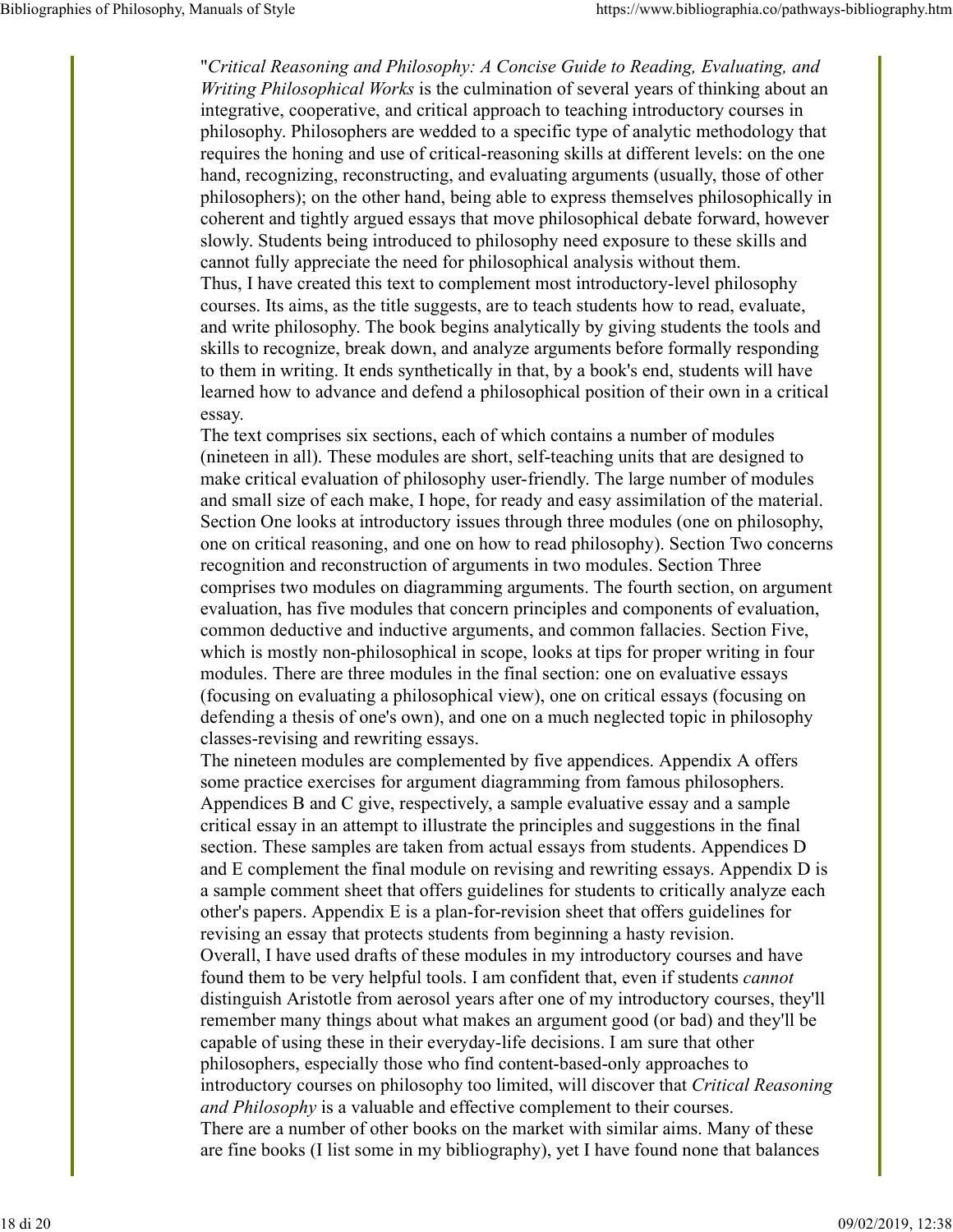"Critical Reasoning and Philosophy: A Concise Guide to Reading, Evaluating, and Writing Philosophical Works is the culmination of several years of thinking about an integrative, cooperative, and critical approach to teaching introductory courses in philosophy. Philosophers are wedded to a specific type of analytic methodology that requires the honing and use of critical-reasoning skills at different levels: on the one hand, recognizing, reconstructing, and evaluating arguments (usually, those of other philosophers); on the other hand, being able to express themselves philosophically in coherent and tightly argued essays that move philosophical debate forward, however slowly. Students being introduced to philosophy need exposure to these skills and cannot fully appreciate the need for philosophical analysis without them. Thus, I have created this text to complement most introductory-level philosophy courses. Its aims, as the title suggests, are to teach students how to read, evaluate, and write philosophy. The book begins analytically by giving students the tools and skills to recognize, break down, and analyze arguments before formally responding to them in writing. It ends synthetically in that, by a book's end, students will have learned how to advance and defend a philosophical position of their own in a critical essay. Bibliographies of Philosophy, Manuals of Style<br>https://www.bibliographia.co/pathways-bibliography.htm<br>"Critical Reasoning and Philosophy: A Concise Guide to Reading, Evaluating, and<br>Writing Philosophical Works is the culmi

> The text comprises six sections, each of which contains a number of modules (nineteen in all). These modules are short, self-teaching units that are designed to make critical evaluation of philosophy user-friendly. The large number of modules and small size of each make, I hope, for ready and easy assimilation of the material. Section One looks at introductory issues through three modules (one on philosophy, one on critical reasoning, and one on how to read philosophy). Section Two concerns recognition and reconstruction of arguments in two modules. Section Three comprises two modules on diagramming arguments. The fourth section, on argument evaluation, has five modules that concern principles and components of evaluation, common deductive and inductive arguments, and common fallacies. Section Five, which is mostly non-philosophical in scope, looks at tips for proper writing in four modules. There are three modules in the final section: one on evaluative essays (focusing on evaluating a philosophical view), one on critical essays (focusing on defending a thesis of one's own), and one on a much neglected topic in philosophy classes-revising and rewriting essays.

> The nineteen modules are complemented by five appendices. Appendix A offers some practice exercises for argument diagramming from famous philosophers. Appendices B and C give, respectively, a sample evaluative essay and a sample critical essay in an attempt to illustrate the principles and suggestions in the final section. These samples are taken from actual essays from students. Appendices D and E complement the final module on revising and rewriting essays. Appendix D is a sample comment sheet that offers guidelines for students to critically analyze each other's papers. Appendix E is a plan-for-revision sheet that offers guidelines for revising an essay that protects students from beginning a hasty revision. Overall, I have used drafts of these modules in my introductory courses and have found them to be very helpful tools. I am confident that, even if students cannot distinguish Aristotle from aerosol years after one of my introductory courses, they'll remember many things about what makes an argument good (or bad) and they'll be capable of using these in their everyday-life decisions. I am sure that other philosophers, especially those who find content-based-only approaches to introductory courses on philosophy too limited, will discover that Critical Reasoning and Philosophy is a valuable and effective complement to their courses. There are a number of other books on the market with similar aims. Many of these are fine books (I list some in my bibliography), yet I have found none that balances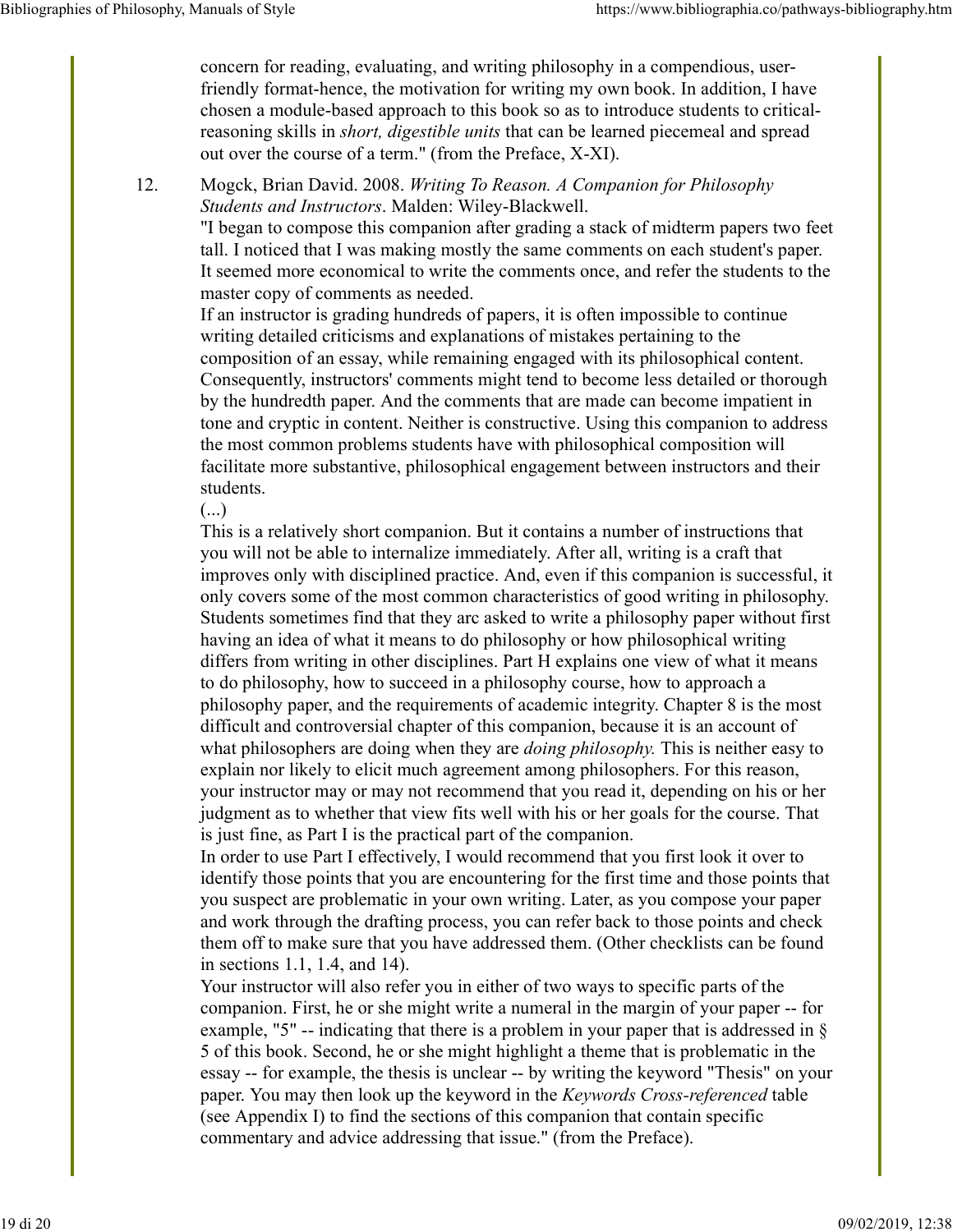concern for reading, evaluating, and writing philosophy in a compendious, userfriendly format-hence, the motivation for writing my own book. In addition, I have chosen a module-based approach to this book so as to introduce students to criticalreasoning skills in short, digestible units that can be learned piecemeal and spread out over the course of a term." (from the Preface, X-XI). Bibliographies of Philosophy, Manuals of Style<br>
concern for reading, evaluating, and writing philosophy in a compendious, user-<br>
friendly format-hence, the motivation for writing my own book. In addition, I have<br>
chosen a

> 12. Mogck, Brian David. 2008. *Writing To Reason. A Companion for Philosophy* Students and Instructors. Malden: Wiley-Blackwell.

"I began to compose this companion after grading a stack of midterm papers two feet tall. I noticed that I was making mostly the same comments on each student's paper. It seemed more economical to write the comments once, and refer the students to the master copy of comments as needed.

If an instructor is grading hundreds of papers, it is often impossible to continue writing detailed criticisms and explanations of mistakes pertaining to the composition of an essay, while remaining engaged with its philosophical content. Consequently, instructors' comments might tend to become less detailed or thorough by the hundredth paper. And the comments that are made can become impatient in tone and cryptic in content. Neither is constructive. Using this companion to address the most common problems students have with philosophical composition will facilitate more substantive, philosophical engagement between instructors and their students.

(...)

This is a relatively short companion. But it contains a number of instructions that you will not be able to internalize immediately. After all, writing is a craft that improves only with disciplined practice. And, even if this companion is successful, it only covers some of the most common characteristics of good writing in philosophy. Students sometimes find that they arc asked to write a philosophy paper without first having an idea of what it means to do philosophy or how philosophical writing differs from writing in other disciplines. Part H explains one view of what it means to do philosophy, how to succeed in a philosophy course, how to approach a philosophy paper, and the requirements of academic integrity. Chapter 8 is the most difficult and controversial chapter of this companion, because it is an account of what philosophers are doing when they are *doing philosophy*. This is neither easy to explain nor likely to elicit much agreement among philosophers. For this reason, your instructor may or may not recommend that you read it, depending on his or her judgment as to whether that view fits well with his or her goals for the course. That is just fine, as Part I is the practical part of the companion.

In order to use Part I effectively, I would recommend that you first look it over to identify those points that you are encountering for the first time and those points that you suspect are problematic in your own writing. Later, as you compose your paper and work through the drafting process, you can refer back to those points and check them off to make sure that you have addressed them. (Other checklists can be found in sections 1.1, 1.4, and 14).

Your instructor will also refer you in either of two ways to specific parts of the companion. First, he or she might write a numeral in the margin of your paper -- for example, "5" -- indicating that there is a problem in your paper that is addressed in  $\S$ 5 of this book. Second, he or she might highlight a theme that is problematic in the essay -- for example, the thesis is unclear -- by writing the keyword "Thesis" on your paper. You may then look up the keyword in the Keywords Cross-referenced table (see Appendix I) to find the sections of this companion that contain specific commentary and advice addressing that issue." (from the Preface).